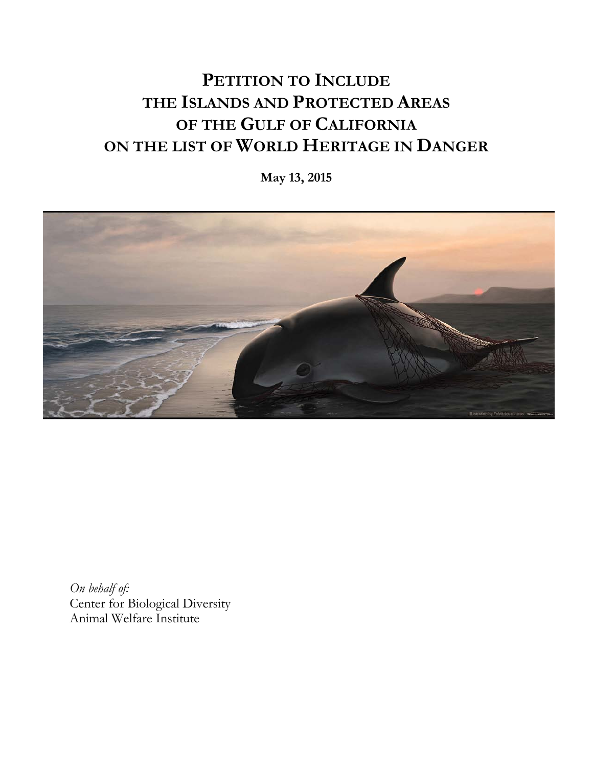# **PETITION TO INCLUDE THE ISLANDS AND PROTECTED AREAS OF THE GULF OF CALIFORNIA ON THE LIST OF WORLD HERITAGE IN DANGER**

**May 13, 2015**



*On behalf of:* Center for Biological Diversity Animal Welfare Institute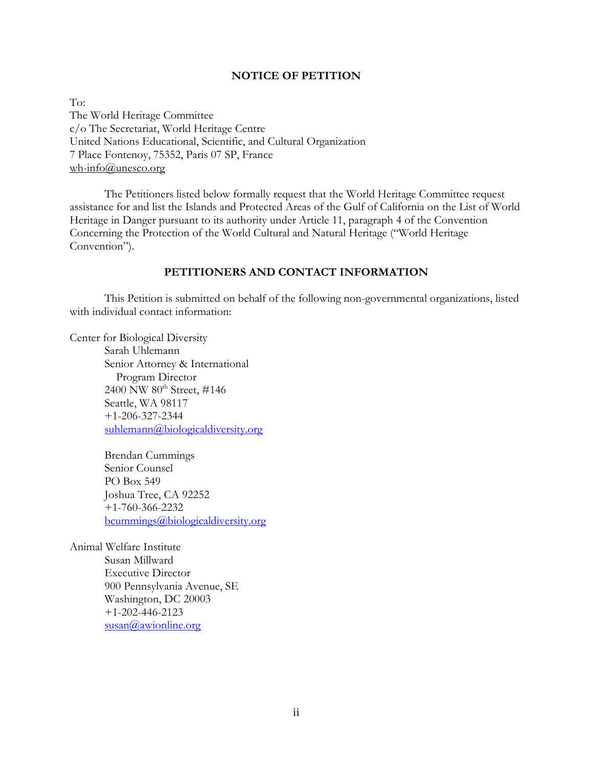## **NOTICE OF PETITION**

To: The World Heritage Committee c/o The Secretariat, World Heritage Centre United Nations Educational, Scientific, and Cultural Organization 7 Place Fontenoy, 75352, Paris 07 SP, France [wh-info@unesco.org](mailto:wh-info@unesco.org)

The Petitioners listed below formally request that the World Heritage Committee request assistance for and list the Islands and Protected Areas of the Gulf of California on the List of World Heritage in Danger pursuant to its authority under Article 11, paragraph 4 of the Convention Concerning the Protection of the World Cultural and Natural Heritage ("World Heritage Convention").

# **PETITIONERS AND CONTACT INFORMATION**

This Petition is submitted on behalf of the following non-governmental organizations, listed with individual contact information:

Center for Biological Diversity Sarah Uhlemann Senior Attorney & International Program Director  $2400 \text{ NW } 80^{\text{th}}$  Street, #146 Seattle, WA 98117 +1-206-327-2344 [suhlemann@biologicaldiversity.org](mailto:suhlemann@biologicaldiversity.org)

> Brendan Cummings Senior Counsel PO Box 549 Joshua Tree, CA 92252 +1-760-366-2232 [bcummings@biologicaldiversity.org](mailto:bcummings@biologicaldiversity.org)

Animal Welfare Institute Susan Millward Executive Director 900 Pennsylvania Avenue, SE Washington, DC 20003 +1-202-446-2123 [susan@awionline.org](mailto:susan@awionline.org)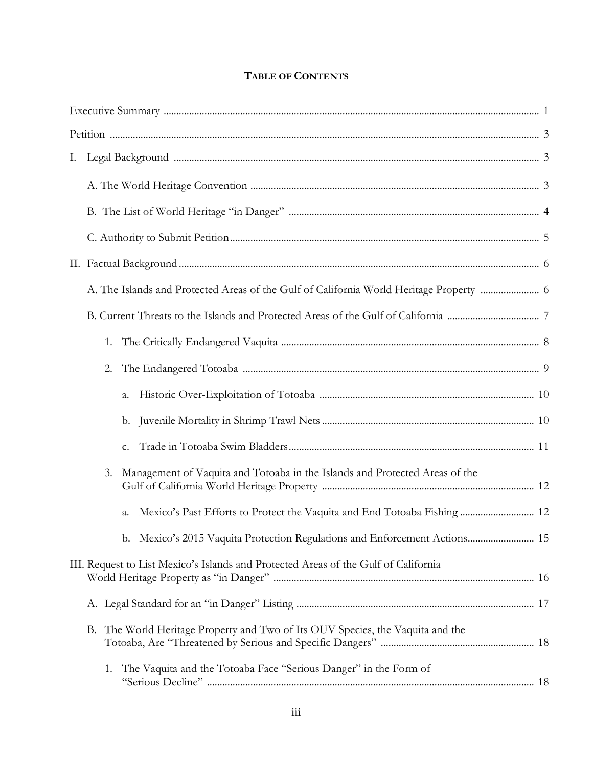# **TABLE OF CONTENTS**

| Ι. |  |    |                |                                                                                         |  |  |
|----|--|----|----------------|-----------------------------------------------------------------------------------------|--|--|
|    |  |    |                |                                                                                         |  |  |
|    |  |    |                |                                                                                         |  |  |
|    |  |    |                |                                                                                         |  |  |
|    |  |    |                |                                                                                         |  |  |
|    |  |    |                | A. The Islands and Protected Areas of the Gulf of California World Heritage Property  6 |  |  |
|    |  |    |                |                                                                                         |  |  |
|    |  | 1. |                |                                                                                         |  |  |
|    |  | 2. |                |                                                                                         |  |  |
|    |  |    | a.             |                                                                                         |  |  |
|    |  |    |                |                                                                                         |  |  |
|    |  |    | $\mathbf{C}$ . |                                                                                         |  |  |
|    |  | 3. |                | Management of Vaquita and Totoaba in the Islands and Protected Areas of the             |  |  |
|    |  |    |                | Mexico's Past Efforts to Protect the Vaquita and End Totoaba Fishing  12                |  |  |
|    |  |    |                | b. Mexico's 2015 Vaquita Protection Regulations and Enforcement Actions 15              |  |  |
|    |  |    |                | III. Request to List Mexico's Islands and Protected Areas of the Gulf of California     |  |  |
|    |  |    |                |                                                                                         |  |  |
|    |  |    |                | B. The World Heritage Property and Two of Its OUV Species, the Vaquita and the          |  |  |
|    |  | 1. |                | The Vaquita and the Totoaba Face "Serious Danger" in the Form of                        |  |  |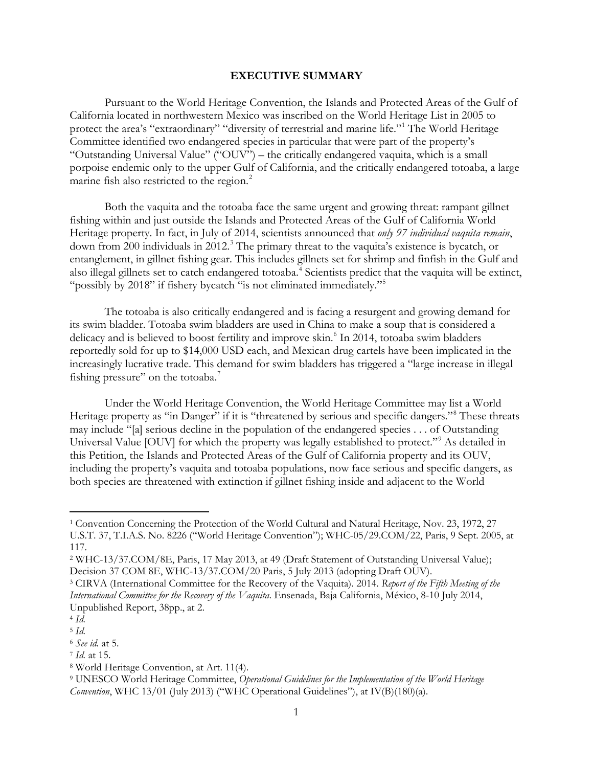#### **EXECUTIVE SUMMARY**

Pursuant to the World Heritage Convention, the Islands and Protected Areas of the Gulf of California located in northwestern Mexico was inscribed on the World Heritage List in 2005 to protect the area's "extraordinary" "diversity of terrestrial and marine life."<sup>[1](#page-4-0)</sup> The World Heritage Committee identified two endangered species in particular that were part of the property's "Outstanding Universal Value" ("OUV") – the critically endangered vaquita, which is a small porpoise endemic only to the upper Gulf of California, and the critically endangered totoaba, a large marine fish also restricted to the region.<sup>[2](#page-4-1)</sup>

Both the vaquita and the totoaba face the same urgent and growing threat: rampant gillnet fishing within and just outside the Islands and Protected Areas of the Gulf of California World Heritage property. In fact, in July of 2014, scientists announced that *only 97 individual vaquita remain*, down from 200 individuals in 2012. [3](#page-4-2) The primary threat to the vaquita's existence is bycatch, or entanglement, in gillnet fishing gear. This includes gillnets set for shrimp and finfish in the Gulf and also illegal gillnets set to catch endangered totoaba. [4](#page-4-3) Scientists predict that the vaquita will be extinct, "possibly by 2018" if fishery bycatch "is not eliminated immediately."<sup>[5](#page-4-4)</sup>

The totoaba is also critically endangered and is facing a resurgent and growing demand for its swim bladder. Totoaba swim bladders are used in China to make a soup that is considered a delicacy and is believed to boost fertility and improve skin.<sup>[6](#page-4-5)</sup> In 2014, totoaba swim bladders reportedly sold for up to \$14,000 USD each, and Mexican drug cartels have been implicated in the increasingly lucrative trade. This demand for swim bladders has triggered a "large increase in illegal fishing pressure" on the totoaba.<sup>[7](#page-4-6)</sup>

Under the World Heritage Convention, the World Heritage Committee may list a World Heritage property as "in Danger" if it is "threatened by serious and specific dangers."<sup>[8](#page-4-7)</sup> These threats may include "[a] serious decline in the population of the endangered species . . . of Outstanding Universal Value [OUV] for which the property was legally established to protect."<sup>[9](#page-4-8)</sup> As detailed in this Petition, the Islands and Protected Areas of the Gulf of California property and its OUV, including the property's vaquita and totoaba populations, now face serious and specific dangers, as both species are threatened with extinction if gillnet fishing inside and adjacent to the World

<span id="page-4-0"></span><sup>1</sup> Convention Concerning the Protection of the World Cultural and Natural Heritage, Nov. 23, 1972, 27 U.S.T. 37, T.I.A.S. No. 8226 ("World Heritage Convention"); WHC-05/29.COM/22, Paris, 9 Sept. 2005, at 117.

<span id="page-4-1"></span><sup>2</sup> WHC-13/37.COM/8E, Paris, 17 May 2013, at 49 (Draft Statement of Outstanding Universal Value); Decision 37 COM 8E, WHC-13/37.COM/20 Paris, 5 July 2013 (adopting Draft OUV).

<span id="page-4-2"></span><sup>3</sup> CIRVA (International Committee for the Recovery of the Vaquita). 2014. *Report of the Fifth Meeting of the International Committee for the Recovery of the Vaquita*. Ensenada, Baja California, México, 8-10 July 2014, Unpublished Report, 38pp., at 2.

<span id="page-4-3"></span><sup>4</sup> *Id.*

<span id="page-4-4"></span><sup>5</sup> *Id.*

<span id="page-4-5"></span><sup>6</sup> *See id.* at 5.

<span id="page-4-6"></span><sup>7</sup> *Id.* at 15.

<span id="page-4-7"></span><sup>8</sup> World Heritage Convention, at Art. 11(4).

<span id="page-4-8"></span><sup>9</sup> UNESCO World Heritage Committee, *Operational Guidelines for the Implementation of the World Heritage Convention*, WHC 13/01 (July 2013) ("WHC Operational Guidelines"), at IV(B)(180)(a).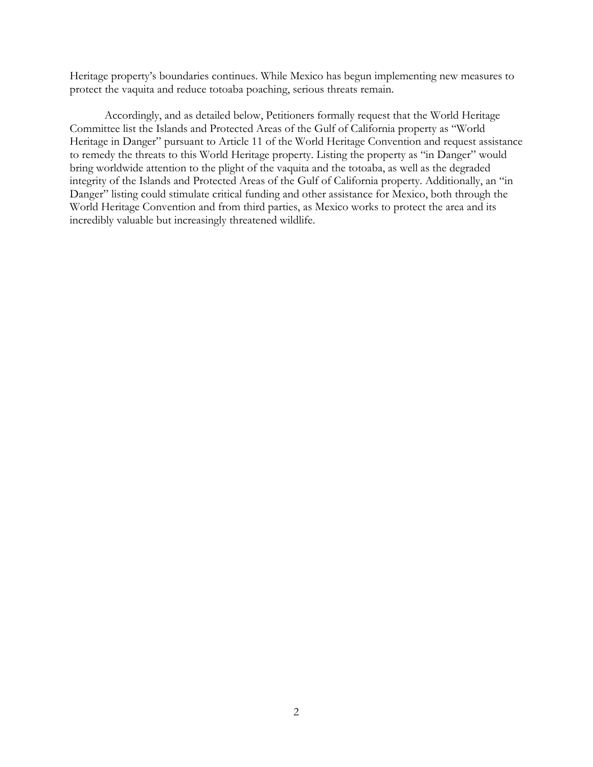Heritage property's boundaries continues. While Mexico has begun implementing new measures to protect the vaquita and reduce totoaba poaching, serious threats remain.

Accordingly, and as detailed below, Petitioners formally request that the World Heritage Committee list the Islands and Protected Areas of the Gulf of California property as "World Heritage in Danger" pursuant to Article 11 of the World Heritage Convention and request assistance to remedy the threats to this World Heritage property. Listing the property as "in Danger" would bring worldwide attention to the plight of the vaquita and the totoaba, as well as the degraded integrity of the Islands and Protected Areas of the Gulf of California property. Additionally, an "in Danger" listing could stimulate critical funding and other assistance for Mexico, both through the World Heritage Convention and from third parties, as Mexico works to protect the area and its incredibly valuable but increasingly threatened wildlife.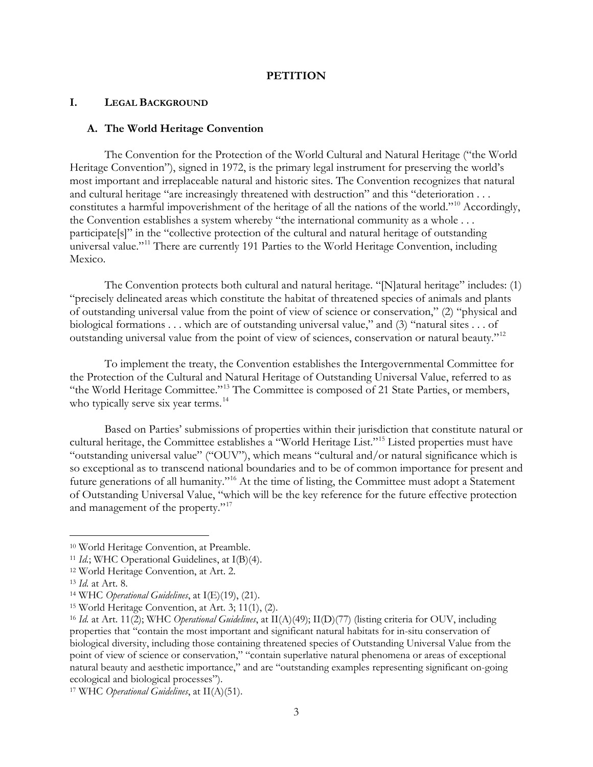## **PETITION**

#### **I. LEGAL BACKGROUND**

#### **A. The World Heritage Convention**

The Convention for the Protection of the World Cultural and Natural Heritage ("the World Heritage Convention"), signed in 1972, is the primary legal instrument for preserving the world's most important and irreplaceable natural and historic sites. The Convention recognizes that natural and cultural heritage "are increasingly threatened with destruction" and this "deterioration . . . constitutes a harmful impoverishment of the heritage of all the nations of the world."[10](#page-6-0) Accordingly, the Convention establishes a system whereby "the international community as a whole . . . participate[s]" in the "collective protection of the cultural and natural heritage of outstanding universal value."<sup>[11](#page-6-1)</sup> There are currently 191 Parties to the World Heritage Convention, including Mexico.

The Convention protects both cultural and natural heritage. "[N]atural heritage" includes: (1) "precisely delineated areas which constitute the habitat of threatened species of animals and plants of outstanding universal value from the point of view of science or conservation," (2) "physical and biological formations . . . which are of outstanding universal value," and (3) "natural sites . . . of outstanding universal value from the point of view of sciences, conservation or natural beauty."[12](#page-6-2)

To implement the treaty, the Convention establishes the Intergovernmental Committee for the Protection of the Cultural and Natural Heritage of Outstanding Universal Value, referred to as "the World Heritage Committee."[13](#page-6-3) The Committee is composed of 21 State Parties, or members, who typically serve six year terms.<sup>[14](#page-6-4)</sup>

Based on Parties' submissions of properties within their jurisdiction that constitute natural or cultural heritage, the Committee establishes a "World Heritage List."[15](#page-6-5) Listed properties must have "outstanding universal value" ("OUV"), which means "cultural and/or natural significance which is so exceptional as to transcend national boundaries and to be of common importance for present and future generations of all humanity."[16](#page-6-6) At the time of listing, the Committee must adopt a Statement of Outstanding Universal Value, "which will be the key reference for the future effective protection and management of the property."<sup>[17](#page-6-7)</sup>

<span id="page-6-0"></span><sup>10</sup> World Heritage Convention, at Preamble.

<span id="page-6-1"></span><sup>11</sup> *Id.*; WHC Operational Guidelines, at I(B)(4).

<span id="page-6-2"></span><sup>12</sup> World Heritage Convention, at Art. 2.

<span id="page-6-3"></span><sup>13</sup> *Id.* at Art. 8.

<span id="page-6-4"></span><sup>14</sup> WHC *Operational Guidelines*, at I(E)(19), (21).

<span id="page-6-5"></span><sup>15</sup> World Heritage Convention, at Art. 3; 11(1), (2).

<span id="page-6-6"></span><sup>16</sup> *Id.* at Art. 11(2); WHC *Operational Guidelines*, at II(A)(49); II(D)(77) (listing criteria for OUV, including properties that "contain the most important and significant natural habitats for in-situ conservation of biological diversity, including those containing threatened species of Outstanding Universal Value from the point of view of science or conservation," "contain superlative natural phenomena or areas of exceptional natural beauty and aesthetic importance," and are "outstanding examples representing significant on-going ecological and biological processes").

<span id="page-6-7"></span><sup>17</sup> WHC *Operational Guidelines*, at II(A)(51).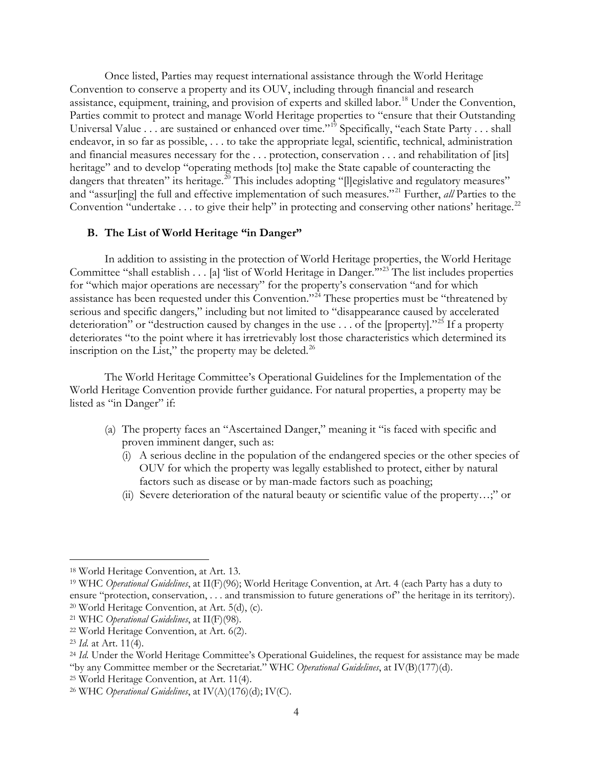Once listed, Parties may request international assistance through the World Heritage Convention to conserve a property and its OUV, including through financial and research assistance, equipment, training, and provision of experts and skilled labor.<sup>[18](#page-7-0)</sup> Under the Convention, Parties commit to protect and manage World Heritage properties to "ensure that their Outstanding Universal Value . . . are sustained or enhanced over time."<sup>[19](#page-7-1)</sup> Specifically, "each State Party . . . shall endeavor, in so far as possible, . . . to take the appropriate legal, scientific, technical, administration and financial measures necessary for the . . . protection, conservation . . . and rehabilitation of [its] heritage" and to develop "operating methods [to] make the State capable of counteracting the dangers that threaten" its heritage.<sup>[20](#page-7-2)</sup> This includes adopting "[legislative and regulatory measures" and "assur[ing] the full and effective implementation of such measures."[21](#page-7-3) Further, *all* Parties to the Convention "undertake . . . to give their help" in protecting and conserving other nations' heritage.<sup>[22](#page-7-4)</sup>

## **B. The List of World Heritage "in Danger"**

In addition to assisting in the protection of World Heritage properties, the World Heritage Committee "shall establish . . . [a] 'list of World Heritage in Danger."<sup>[23](#page-7-5)</sup> The list includes properties for "which major operations are necessary" for the property's conservation "and for which assistance has been requested under this Convention."<sup>[24](#page-7-6)</sup> These properties must be "threatened by serious and specific dangers," including but not limited to "disappearance caused by accelerated deterioration" or "destruction caused by changes in the use  $\ldots$  of the [property]."<sup>[25](#page-7-7)</sup> If a property deteriorates "to the point where it has irretrievably lost those characteristics which determined its inscription on the List," the property may be deleted.<sup>[26](#page-7-8)</sup>

The World Heritage Committee's Operational Guidelines for the Implementation of the World Heritage Convention provide further guidance. For natural properties, a property may be listed as "in Danger" if:

- (a) The property faces an "Ascertained Danger," meaning it "is faced with specific and proven imminent danger, such as:
	- (i) A serious decline in the population of the endangered species or the other species of OUV for which the property was legally established to protect, either by natural factors such as disease or by man-made factors such as poaching;
	- (ii) Severe deterioration of the natural beauty or scientific value of the property…;" or

<span id="page-7-0"></span><sup>18</sup> World Heritage Convention, at Art. 13.

<span id="page-7-1"></span><sup>19</sup> WHC *Operational Guidelines*, at II(F)(96); World Heritage Convention, at Art. 4 (each Party has a duty to ensure "protection, conservation, . . . and transmission to future generations of" the heritage in its territory). <sup>20</sup> World Heritage Convention, at Art. 5(d), (c).

<span id="page-7-3"></span><span id="page-7-2"></span><sup>21</sup> WHC *Operational Guidelines*, at II(F)(98).

<span id="page-7-4"></span><sup>22</sup> World Heritage Convention, at Art. 6(2).

<span id="page-7-5"></span><sup>23</sup> *Id.* at Art. 11(4).

<span id="page-7-6"></span><sup>24</sup> *Id.* Under the World Heritage Committee's Operational Guidelines, the request for assistance may be made "by any Committee member or the Secretariat." WHC *Operational Guidelines*, at IV(B)(177)(d).

<span id="page-7-7"></span><sup>25</sup> World Heritage Convention, at Art. 11(4).

<span id="page-7-8"></span><sup>26</sup> WHC *Operational Guidelines*, at IV(A)(176)(d); IV(C).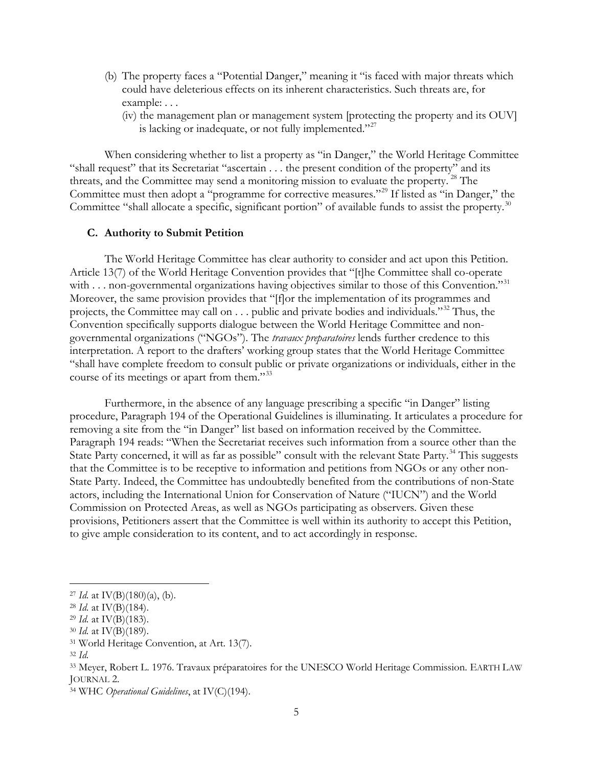- (b) The property faces a "Potential Danger," meaning it "is faced with major threats which could have deleterious effects on its inherent characteristics. Such threats are, for example: . . .
	- (iv) the management plan or management system [protecting the property and its OUV] is lacking or inadequate, or not fully implemented."<sup>[27](#page-8-0)</sup>

When considering whether to list a property as "in Danger," the World Heritage Committee "shall request" that its Secretariat "ascertain . . . the present condition of the property" and its threats, and the Committee may send a monitoring mission to evaluate the property.<sup>[28](#page-8-1)</sup> The Committee must then adopt a "programme for corrective measures."[29](#page-8-2) If listed as "in Danger," the Committee "shall allocate a specific, significant portion" of available funds to assist the property.<sup>[30](#page-8-3)</sup>

#### **C. Authority to Submit Petition**

The World Heritage Committee has clear authority to consider and act upon this Petition. Article 13(7) of the World Heritage Convention provides that "[t]he Committee shall co-operate with . . . non-governmental organizations having objectives similar to those of this Convention."<sup>[31](#page-8-4)</sup> Moreover, the same provision provides that "[f]or the implementation of its programmes and projects, the Committee may call on . . . public and private bodies and individuals."[32](#page-8-5) Thus, the Convention specifically supports dialogue between the World Heritage Committee and nongovernmental organizations ("NGOs"). The *travaux preparatoires* lends further credence to this interpretation. A report to the drafters' working group states that the World Heritage Committee "shall have complete freedom to consult public or private organizations or individuals, either in the course of its meetings or apart from them."<sup>[33](#page-8-6)</sup>

Furthermore, in the absence of any language prescribing a specific "in Danger" listing procedure, Paragraph 194 of the Operational Guidelines is illuminating. It articulates a procedure for removing a site from the "in Danger" list based on information received by the Committee. Paragraph 194 reads: "When the Secretariat receives such information from a source other than the State Party concerned, it will as far as possible" consult with the relevant State Party.<sup>[34](#page-8-7)</sup> This suggests that the Committee is to be receptive to information and petitions from NGOs or any other non-State Party. Indeed, the Committee has undoubtedly benefited from the contributions of non-State actors, including the International Union for Conservation of Nature ("IUCN") and the World Commission on Protected Areas, as well as NGOs participating as observers. Given these provisions, Petitioners assert that the Committee is well within its authority to accept this Petition, to give ample consideration to its content, and to act accordingly in response.

<span id="page-8-0"></span><sup>&</sup>lt;sup>27</sup> *Id.* at IV(B)(180)(a), (b).

<span id="page-8-1"></span><sup>28</sup> *Id.* at IV(B)(184).

<span id="page-8-2"></span><sup>29</sup> *Id.* at IV(B)(183).

<span id="page-8-3"></span><sup>30</sup> *Id.* at IV(B)(189).

<span id="page-8-4"></span><sup>31</sup> World Heritage Convention, at Art. 13(7).

<span id="page-8-5"></span><sup>32</sup> *Id.*

<span id="page-8-6"></span><sup>33</sup> Meyer, Robert L. 1976. Travaux préparatoires for the UNESCO World Heritage Commission. EARTH LAW JOURNAL 2.

<span id="page-8-7"></span><sup>34</sup> WHC *Operational Guidelines*, at IV(C)(194).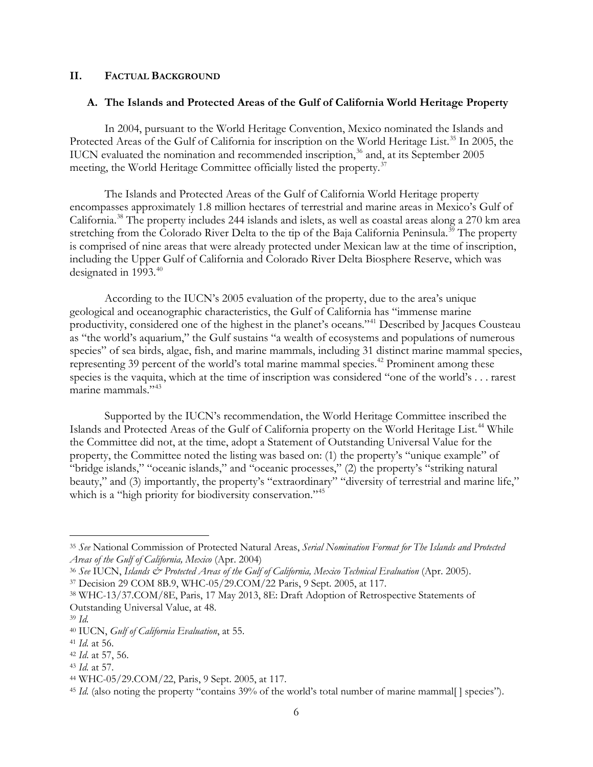# **II. FACTUAL BACKGROUND**

# **A. The Islands and Protected Areas of the Gulf of California World Heritage Property**

In 2004, pursuant to the World Heritage Convention, Mexico nominated the Islands and Protected Areas of the Gulf of California for inscription on the World Heritage List.<sup>[35](#page-9-0)</sup> In 2005, the IUCN evaluated the nomination and recommended inscription, [36](#page-9-1) and, at its September 2005 meeting, the World Heritage Committee officially listed the property.<sup>[37](#page-9-2)</sup>

The Islands and Protected Areas of the Gulf of California World Heritage property encompasses approximately 1.8 million hectares of terrestrial and marine areas in Mexico's Gulf of California.[38](#page-9-3) The property includes 244 islands and islets, as well as coastal areas along a 270 km area stretching from the Colorado River Delta to the tip of the Baja California Peninsula.<sup>[39](#page-9-4)</sup> The property is comprised of nine areas that were already protected under Mexican law at the time of inscription, including the Upper Gulf of California and Colorado River Delta Biosphere Reserve, which was designated in 1993. $40$ 

According to the IUCN's 2005 evaluation of the property, due to the area's unique geological and oceanographic characteristics, the Gulf of California has "immense marine productivity, considered one of the highest in the planet's oceans."[41](#page-9-6) Described by Jacques Cousteau as "the world's aquarium," the Gulf sustains "a wealth of ecosystems and populations of numerous species" of sea birds, algae, fish, and marine mammals, including 31 distinct marine mammal species, representing 39 percent of the world's total marine mammal species.<sup>[42](#page-9-7)</sup> Prominent among these species is the vaquita, which at the time of inscription was considered "one of the world's . . . rarest marine mammals."<sup>[43](#page-9-8)</sup>

Supported by the IUCN's recommendation, the World Heritage Committee inscribed the Islands and Protected Areas of the Gulf of California property on the World Heritage List.<sup>[44](#page-9-9)</sup> While the Committee did not, at the time, adopt a Statement of Outstanding Universal Value for the property, the Committee noted the listing was based on: (1) the property's "unique example" of "bridge islands," "oceanic islands," and "oceanic processes," (2) the property's "striking natural beauty," and (3) importantly, the property's "extraordinary" "diversity of terrestrial and marine life," which is a "high priority for biodiversity conservation."<sup>[45](#page-9-10)</sup>

<span id="page-9-2"></span><sup>37</sup> Decision 29 COM 8B.9, WHC-05/29.COM/22 Paris, 9 Sept. 2005, at 117.

<span id="page-9-0"></span><sup>35</sup> *See* National Commission of Protected Natural Areas, *Serial Nomination Format for The Islands and Protected Areas of the Gulf of California, Mexico* (Apr. 2004)

<span id="page-9-1"></span><sup>36</sup> *See* IUCN, *Islands & Protected Areas of the Gulf of California, Mexico Technical Evaluation* (Apr. 2005).

<span id="page-9-3"></span><sup>38</sup> WHC-13/37.COM/8E, Paris, 17 May 2013, 8E: Draft Adoption of Retrospective Statements of Outstanding Universal Value, at 48.

<span id="page-9-4"></span><sup>39</sup> *Id.*

<span id="page-9-5"></span><sup>40</sup> IUCN, *Gulf of California Evaluation*, at 55.

<span id="page-9-6"></span><sup>41</sup> *Id.* at 56.

<span id="page-9-7"></span><sup>42</sup> *Id*. at 57, 56.

<span id="page-9-8"></span><sup>43</sup> *Id.* at 57.

<span id="page-9-9"></span><sup>44</sup> WHC-05/29.COM/22, Paris, 9 Sept. 2005, at 117.

<span id="page-9-10"></span><sup>&</sup>lt;sup>45</sup> *Id.* (also noting the property "contains 39% of the world's total number of marine mammal[] species").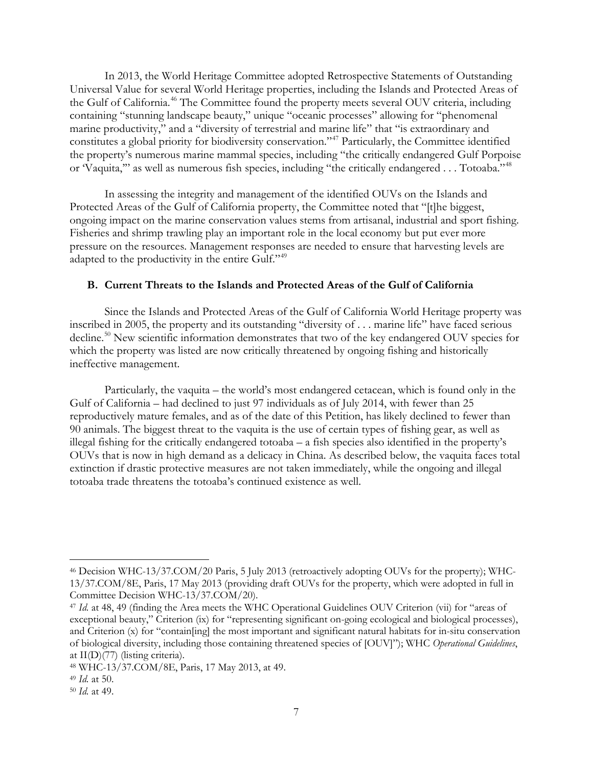In 2013, the World Heritage Committee adopted Retrospective Statements of Outstanding Universal Value for several World Heritage properties, including the Islands and Protected Areas of the Gulf of California. [46](#page-10-0) The Committee found the property meets several OUV criteria, including containing "stunning landscape beauty," unique "oceanic processes" allowing for "phenomenal marine productivity," and a "diversity of terrestrial and marine life" that "is extraordinary and constitutes a global priority for biodiversity conservation."[47](#page-10-1) Particularly, the Committee identified the property's numerous marine mammal species, including "the critically endangered Gulf Porpoise or 'Vaquita,'" as well as numerous fish species, including "the critically endangered . . . Totoaba."[48](#page-10-2)

In assessing the integrity and management of the identified OUVs on the Islands and Protected Areas of the Gulf of California property, the Committee noted that "[t]he biggest, ongoing impact on the marine conservation values stems from artisanal, industrial and sport fishing. Fisheries and shrimp trawling play an important role in the local economy but put ever more pressure on the resources. Management responses are needed to ensure that harvesting levels are adapted to the productivity in the entire Gulf."<sup>[49](#page-10-3)</sup>

# **B. Current Threats to the Islands and Protected Areas of the Gulf of California**

Since the Islands and Protected Areas of the Gulf of California World Heritage property was inscribed in 2005, the property and its outstanding "diversity of . . . marine life" have faced serious decline.<sup>[50](#page-10-4)</sup> New scientific information demonstrates that two of the key endangered OUV species for which the property was listed are now critically threatened by ongoing fishing and historically ineffective management.

Particularly, the vaquita – the world's most endangered cetacean, which is found only in the Gulf of California – had declined to just 97 individuals as of July 2014, with fewer than 25 reproductively mature females, and as of the date of this Petition, has likely declined to fewer than 90 animals. The biggest threat to the vaquita is the use of certain types of fishing gear, as well as illegal fishing for the critically endangered totoaba – a fish species also identified in the property's OUVs that is now in high demand as a delicacy in China. As described below, the vaquita faces total extinction if drastic protective measures are not taken immediately, while the ongoing and illegal totoaba trade threatens the totoaba's continued existence as well.

<span id="page-10-0"></span><sup>46</sup> Decision WHC-13/37.COM/20 Paris, 5 July 2013 (retroactively adopting OUVs for the property); WHC-13/37.COM/8E, Paris, 17 May 2013 (providing draft OUVs for the property, which were adopted in full in Committee Decision WHC-13/37.COM/20).

<span id="page-10-1"></span><sup>47</sup> *Id.* at 48, 49 (finding the Area meets the WHC Operational Guidelines OUV Criterion (vii) for "areas of exceptional beauty," Criterion (ix) for "representing significant on-going ecological and biological processes), and Criterion (x) for "contain[ing] the most important and significant natural habitats for in-situ conservation of biological diversity, including those containing threatened species of [OUV]"); WHC *Operational Guidelines*, at II(D)(77) (listing criteria).

<span id="page-10-2"></span><sup>48</sup> WHC-13/37.COM/8E, Paris, 17 May 2013, at 49.

<span id="page-10-3"></span><sup>49</sup> *Id.* at 50.

<span id="page-10-4"></span><sup>50</sup> *Id.* at 49.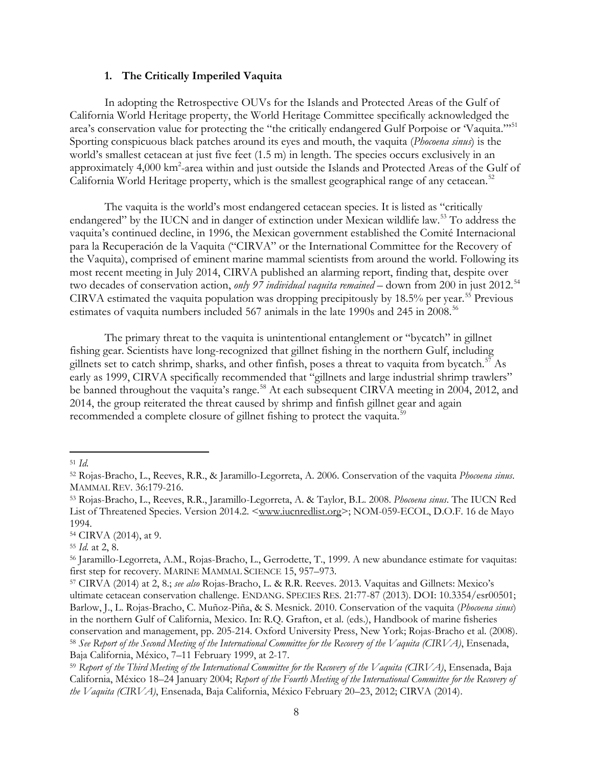#### **1. The Critically Imperiled Vaquita**

In adopting the Retrospective OUVs for the Islands and Protected Areas of the Gulf of California World Heritage property, the World Heritage Committee specifically acknowledged the area's conservation value for protecting the "the critically endangered Gulf Porpoise or 'Vaquita."<sup>[51](#page-11-0)</sup> Sporting conspicuous black patches around its eyes and mouth, the vaquita (*Phocoena sinus*) is the world's smallest cetacean at just five feet  $(1.5 \text{ m})$  in length. The species occurs exclusively in an approximately 4,000 km<sup>2</sup>-area within and just outside the Islands and Protected Areas of the Gulf of California World Heritage property, which is the smallest geographical range of any cetacean.<sup>[52](#page-11-1)</sup>

The vaquita is the world's most endangered cetacean species. It is listed as "critically endangered" by the IUCN and in danger of extinction under Mexican wildlife law.<sup>[53](#page-11-2)</sup> To address the vaquita's continued decline, in 1996, the Mexican government established the Comité Internacional para la Recuperación de la Vaquita ("CIRVA" or the International Committee for the Recovery of the Vaquita), comprised of eminent marine mammal scientists from around the world. Following its most recent meeting in July 2014, CIRVA published an alarming report, finding that, despite over two decades of conservation action, *only 97 individual vaquita remained* – down from 200 in just 2012. [54](#page-11-3) CIRVA estimated the vaquita population was dropping precipitously by  $18.5\%$  per year.<sup>[55](#page-11-4)</sup> Previous estimates of vaquita numbers included 567 animals in the late 1990s and 245 in 2008.<sup>56</sup>

The primary threat to the vaquita is unintentional entanglement or "bycatch" in gillnet fishing gear. Scientists have long-recognized that gillnet fishing in the northern Gulf, including gillnets set to catch shrimp, sharks, and other finfish, poses a threat to vaquita from bycatch.<sup>[57](#page-11-6)</sup> As early as 1999, CIRVA specifically recommended that "gillnets and large industrial shrimp trawlers" be banned throughout the vaquita's range.<sup>[58](#page-11-7)</sup> At each subsequent CIRVA meeting in 2004, 2012, and 2014, the group reiterated the threat caused by shrimp and finfish gillnet gear and again recommended a complete closure of gillnet fishing to protect the vaquita.<sup>[59](#page-11-8)</sup>

<span id="page-11-0"></span><sup>51</sup> *Id.*

<span id="page-11-1"></span><sup>52</sup> Rojas-Bracho, L., Reeves, R.R., & Jaramillo-Legorreta, A. 2006. Conservation of the vaquita *Phocoena sinus*. MAMMAL REV. 36:179-216.

<span id="page-11-2"></span><sup>53</sup> Rojas-Bracho, L., Reeves, R.R., Jaramillo-Legorreta, A. & Taylor, B.L. 2008. *Phocoena sinus*. The IUCN Red List of Threatened Species. Version 2014.2. <<u>www.iucnredlist.org</u>>; NOM-059-ECOL, D.O.F. 16 de Mayo 1994.

<span id="page-11-3"></span><sup>54</sup> CIRVA (2014), at 9.

<span id="page-11-4"></span><sup>55</sup> *Id.* at 2, 8.

<span id="page-11-5"></span><sup>56</sup> Jaramillo-Legorreta, A.M., Rojas-Bracho, L., Gerrodette, T., 1999. A new abundance estimate for vaquitas: first step for recovery. MARINE MAMMAL SCIENCE 15, 957–973.

<span id="page-11-6"></span><sup>57</sup> CIRVA (2014) at 2, 8.; *see also* Rojas-Bracho, L. & R.R. Reeves. 2013. Vaquitas and Gillnets: Mexico's ultimate cetacean conservation challenge. ENDANG. SPECIES RES. 21:77-87 (2013). DOI: 10.3354/esr00501; Barlow, J., L. Rojas-Bracho, C. Muñoz-Piña, & S. Mesnick. 2010. Conservation of the vaquita (*Phocoena sinus*) in the northern Gulf of California, Mexico. In: R.Q. Grafton, et al. (eds.), Handbook of marine fisheries conservation and management, pp. 205-214. Oxford University Press, New York; Rojas-Bracho et al. (2008). <sup>58</sup> *See Report of the Second Meeting of the International Committee for the Recovery of the Vaquita (CIRVA)*, Ensenada, Baja California, México, 7–11 February 1999, at 2-17.

<span id="page-11-8"></span><span id="page-11-7"></span><sup>59</sup> *Report of the Third Meeting of the International Committee for the Recovery of the Vaquita (CIRVA)*, Ensenada, Baja California, México 18–24 January 2004; *Report of the Fourth Meeting of the International Committee for the Recovery of the Vaquita (CIRVA)*, Ensenada, Baja California, México February 20–23, 2012; CIRVA (2014).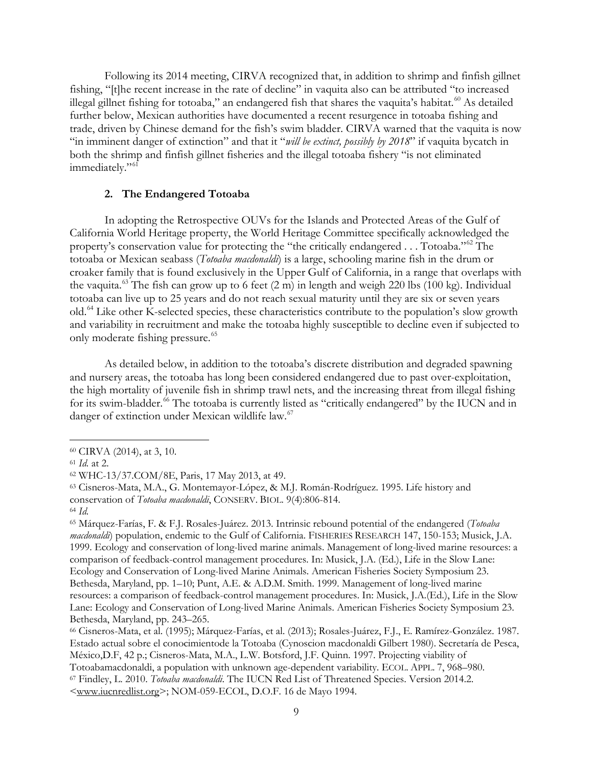Following its 2014 meeting, CIRVA recognized that, in addition to shrimp and finfish gillnet fishing, "[t]he recent increase in the rate of decline" in vaquita also can be attributed "to increased illegal gillnet fishing for totoaba," an endangered fish that shares the vaquita's habitat. [60](#page-12-0) As detailed further below, Mexican authorities have documented a recent resurgence in totoaba fishing and trade, driven by Chinese demand for the fish's swim bladder. CIRVA warned that the vaquita is now "in imminent danger of extinction" and that it "*will be extinct, possibly by 2018*" if vaquita bycatch in both the shrimp and finfish gillnet fisheries and the illegal totoaba fishery "is not eliminated immediately."<sup>[61](#page-12-1)</sup>

## **2. The Endangered Totoaba**

In adopting the Retrospective OUVs for the Islands and Protected Areas of the Gulf of California World Heritage property, the World Heritage Committee specifically acknowledged the property's conservation value for protecting the "the critically endangered . . . Totoaba."<sup>[62](#page-12-2)</sup> The totoaba or Mexican seabass (*Totoaba macdonaldi*) is a large, schooling marine fish in the drum or croaker family that is found exclusively in the Upper Gulf of California, in a range that overlaps with the vaquita.<sup>[63](#page-12-3)</sup> The fish can grow up to 6 feet  $(2 \text{ m})$  in length and weigh 220 lbs  $(100 \text{ kg})$ . Individual totoaba can live up to 25 years and do not reach sexual maturity until they are six or seven years old.[64](#page-12-4) Like other K-selected species, these characteristics contribute to the population's slow growth and variability in recruitment and make the totoaba highly susceptible to decline even if subjected to only moderate fishing pressure. [65](#page-12-5)

As detailed below, in addition to the totoaba's discrete distribution and degraded spawning and nursery areas, the totoaba has long been considered endangered due to past over-exploitation, the high mortality of juvenile fish in shrimp trawl nets, and the increasing threat from illegal fishing for its swim-bladder.<sup>[66](#page-12-6)</sup> The totoaba is currently listed as "critically endangered" by the IUCN and in danger of extinction under Mexican wildlife law.<sup>[67](#page-12-7)</sup>

<span id="page-12-0"></span><sup>60</sup> CIRVA (2014), at 3, 10.

<span id="page-12-1"></span><sup>61</sup> *Id.* at 2.

<span id="page-12-2"></span><sup>62</sup> WHC-13/37.COM/8E, Paris, 17 May 2013, at 49.

<span id="page-12-3"></span><sup>63</sup> Cisneros-Mata, M.A., G. Montemayor-López, & M.J. Román-Rodríguez. 1995. Life history and conservation of *Totoaba macdonaldi*, CONSERV. BIOL. 9(4):806-814.

<span id="page-12-4"></span><sup>64</sup> *Id.*

<span id="page-12-5"></span><sup>65</sup> Márquez-Farías, F. & F.J. Rosales-Juárez. 2013. Intrinsic rebound potential of the endangered (*Totoaba macdonaldi*) population, endemic to the Gulf of California. FISHERIES RESEARCH 147, 150-153; Musick, J.A. 1999. Ecology and conservation of long-lived marine animals. Management of long-lived marine resources: a comparison of feedback-control management procedures. In: Musick, J.A. (Ed.), Life in the Slow Lane: Ecology and Conservation of Long-lived Marine Animals. American Fisheries Society Symposium 23. Bethesda, Maryland, pp. 1–10; Punt, A.E. & A.D.M. Smith. 1999. Management of long-lived marine resources: a comparison of feedback-control management procedures. In: Musick, J.A.(Ed.), Life in the Slow Lane: Ecology and Conservation of Long-lived Marine Animals. American Fisheries Society Symposium 23. Bethesda, Maryland, pp. 243–265.

<span id="page-12-6"></span><sup>66</sup> Cisneros-Mata, et al. (1995); Márquez-Farías, et al. (2013); Rosales-Juárez, F.J., E. Ramírez-González. 1987. Estado actual sobre el conocimientode la Totoaba (Cynoscion macdonaldi Gilbert 1980). Secretaría de Pesca, México,D.F, 42 p.; Cisneros-Mata, M.A., L.W. Botsford, J.F. Quinn. 1997. Projecting viability of

Totoabamacdonaldi, a population with unknown age-dependent variability. ECOL. APPL. 7, 968–980.

<span id="page-12-7"></span><sup>67</sup> Findley, L. 2010. *Totoaba macdonaldi*. The IUCN Red List of Threatened Species. Version 2014.2.

[<sup>&</sup>lt;www.iucnredlist.org>](http://www.iucnredlist.org/); NOM-059-ECOL, D.O.F. 16 de Mayo 1994.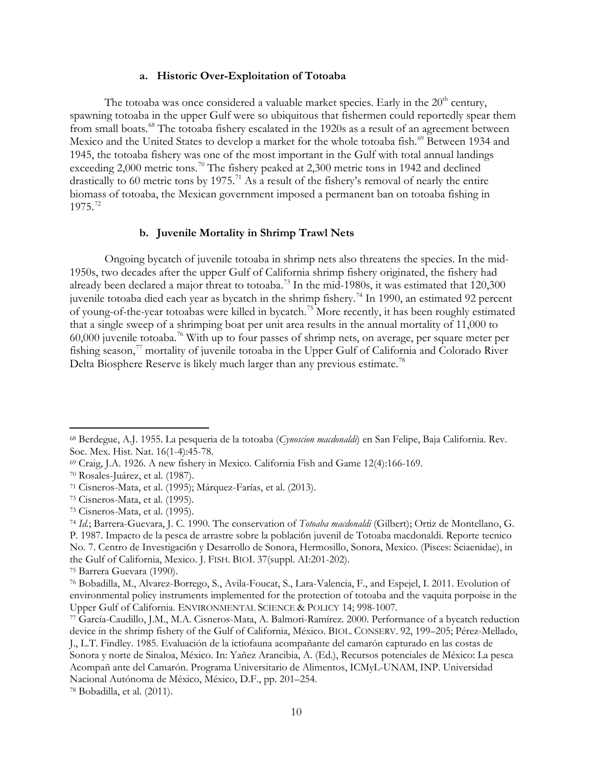#### **a. Historic Over-Exploitation of Totoaba**

The totoaba was once considered a valuable market species. Early in the  $20<sup>th</sup>$  century, spawning totoaba in the upper Gulf were so ubiquitous that fishermen could reportedly spear them from small boats.<sup>[68](#page-13-0)</sup> The totoaba fishery escalated in the 1920s as a result of an agreement between Mexico and the United States to develop a market for the whole totoaba fish.<sup>[69](#page-13-1)</sup> Between 1934 and 1945, the totoaba fishery was one of the most important in the Gulf with total annual landings exceeding 2,000 metric tons.<sup>[70](#page-13-2)</sup> The fishery peaked at 2,300 metric tons in 1942 and declined drastically to 60 metric tons by 1975.<sup>[71](#page-13-3)</sup> As a result of the fishery's removal of nearly the entire biomass of totoaba, the Mexican government imposed a permanent ban on totoaba fishing in 1975. [72](#page-13-3)

#### **b. Juvenile Mortality in Shrimp Trawl Nets**

Ongoing bycatch of juvenile totoaba in shrimp nets also threatens the species. In the mid-1950s, two decades after the upper Gulf of California shrimp fishery originated, the fishery had already been declared a major threat to totoaba.<sup>[73](#page-13-4)</sup> In the mid-1980s, it was estimated that 120,300 juvenile totoaba died each year as bycatch in the shrimp fishery.<sup>[74](#page-13-5)</sup> In 1990, an estimated 92 percent of young-of-the-year totoabas were killed in bycatch. [75](#page-13-6) More recently, it has been roughly estimated that a single sweep of a shrimping boat per unit area results in the annual mortality of 11,000 to 60,000 juvenile totoaba. [76](#page-13-7) With up to four passes of shrimp nets, on average, per square meter per fishing season, $\frac{7}{7}$  mortality of juvenile totoaba in the Upper Gulf of California and Colorado River Delta Biosphere Reserve is likely much larger than any previous estimate.<sup>[78](#page-13-9)</sup>

<span id="page-13-0"></span><sup>68</sup> Berdegue, A.J. 1955. La pesqueria de la totoaba (*Cynoscion macdonaldi*) en San Felipe, Baja California. Rev. Soc. Mex. Hist. Nat. 16(1-4):45-78.

<span id="page-13-1"></span><sup>69</sup> Craig, J.A. 1926. A new fishery in Mexico. California Fish and Game 12(4):166-169.

<span id="page-13-2"></span><sup>70</sup> Rosales-Juárez, et al. (1987).

<span id="page-13-3"></span><sup>71</sup> Cisneros-Mata, et al. (1995); Márquez-Farías, et al. (2013).

<span id="page-13-4"></span><sup>73</sup> Cisneros-Mata, et al. (1995).

<span id="page-13-5"></span><sup>73</sup> Cisneros-Mata, et al. (1995).

<sup>74</sup> *Id.*; Barrera-Guevara, J. C. 1990. The conservation of *Totoaba macdonaldi* (Gilbert); Ortiz de Montellano, G. P. 1987. Impacto de la pesca de arrastre sobre la poblaci6n juvenil de Totoaba macdonaldi. Reporte tecnico No. 7. Centro de Investigaci6n y Desarrollo de Sonora, Hermosillo, Sonora, Mexico. (Pisces: Sciaenidae), in the Gulf of California, Mexico. J. FISH. BIOI. 37(suppl. AI:201-202). <sup>75</sup> Barrera Guevara (1990).

<span id="page-13-7"></span><span id="page-13-6"></span><sup>76</sup> Bobadilla, M., Alvarez-Borrego, S., Avila-Foucat, S., Lara-Valencia, F., and Espejel, I. 2011. Evolution of environmental policy instruments implemented for the protection of totoaba and the vaquita porpoise in the Upper Gulf of California. ENVIRONMENTAL SCIENCE & POLICY 14; 998-1007.

<span id="page-13-8"></span><sup>77</sup> García-Caudillo, J.M., M.A. Cisneros-Mata, A. Balmori-Ramírez. 2000. Performance of a bycatch reduction device in the shrimp fishery of the Gulf of California, México. BIOL. CONSERV. 92, 199–205; Pérez-Mellado, J., L.T. Findley. 1985. Evaluación de la ictiofauna acompañante del camarón capturado en las costas de Sonora y norte de Sinaloa, México. In: Yañez Arancibia, A. (Ed.), Recursos potenciales de México: La pesca Acompañ ante del Camarón. Programa Universitario de Alimentos, ICMyL-UNAM, INP. Universidad Nacional Autónoma de México, México, D.F., pp. 201–254.

<span id="page-13-9"></span><sup>78</sup> Bobadilla, et al. (2011).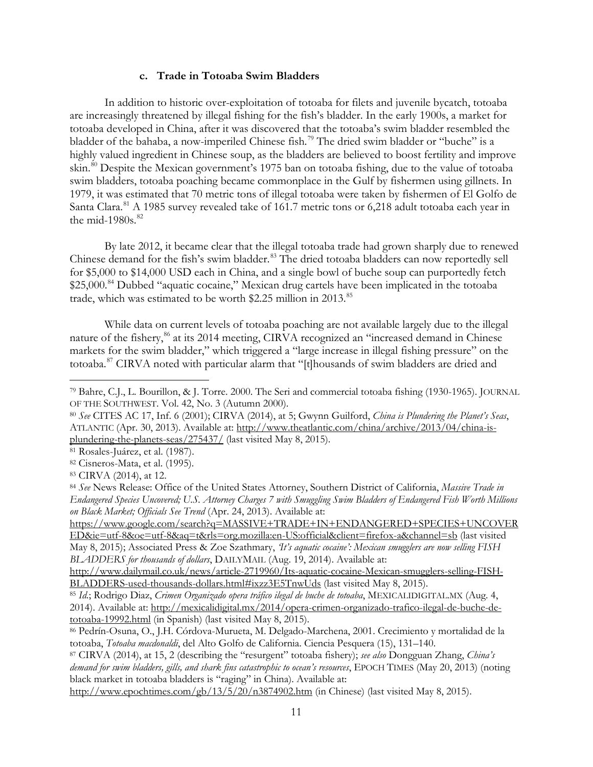## **c. Trade in Totoaba Swim Bladders**

In addition to historic over-exploitation of totoaba for filets and juvenile bycatch, totoaba are increasingly threatened by illegal fishing for the fish's bladder. In the early 1900s, a market for totoaba developed in China, after it was discovered that the totoaba's swim bladder resembled the bladder of the bahaba, a now-imperiled Chinese fish.<sup>[79](#page-14-0)</sup> The dried swim bladder or "buche" is a highly valued ingredient in Chinese soup, as the bladders are believed to boost fertility and improve skin.<sup>[80](#page-14-1)</sup> Despite the Mexican government's 1975 ban on totoaba fishing, due to the value of totoaba swim bladders, totoaba poaching became commonplace in the Gulf by fishermen using gillnets. In 1979, it was estimated that 70 metric tons of illegal totoaba were taken by fishermen of El Golfo de Santa Clara.<sup>[81](#page-14-2)</sup> A 1985 survey revealed take of 161.7 metric tons or 6,218 adult totoaba each year in the mid-1980s. $82$ 

By late 2012, it became clear that the illegal totoaba trade had grown sharply due to renewed Chinese demand for the fish's swim bladder.<sup>[83](#page-14-4)</sup> The dried totoaba bladders can now reportedly sell for \$5,000 to \$14,000 USD each in China, and a single bowl of buche soup can purportedly fetch \$25,000.<sup>[84](#page-14-5)</sup> Dubbed "aquatic cocaine," Mexican drug cartels have been implicated in the totoaba trade, which was estimated to be worth \$2.25 million in 2013.<sup>[85](#page-14-6)</sup>

While data on current levels of totoaba poaching are not available largely due to the illegal nature of the fishery,<sup>[86](#page-14-7)</sup> at its 2014 meeting, CIRVA recognized an "increased demand in Chinese markets for the swim bladder," which triggered a "large increase in illegal fishing pressure" on the totoaba.<sup>[87](#page-14-8)</sup> CIRVA noted with particular alarm that "[t]housands of swim bladders are dried and

 $\overline{a}$ 

[https://www.google.com/search?q=MASSIVE+TRADE+IN+ENDANGERED+SPECIES+UNCOVER](https://www.google.com/search?q=MASSIVE+TRADE+IN+ENDANGERED+SPECIES+UNCOVERED&ie=utf-8&oe=utf-8&aq=t&rls=org.mozilla:en-US:official&client=firefox-a&channel=sb) [ED&ie=utf-8&oe=utf-8&aq=t&rls=org.mozilla:en-US:official&client=firefox-a&channel=sb](https://www.google.com/search?q=MASSIVE+TRADE+IN+ENDANGERED+SPECIES+UNCOVERED&ie=utf-8&oe=utf-8&aq=t&rls=org.mozilla:en-US:official&client=firefox-a&channel=sb) (last visited May 8, 2015); Associated Press & Zoe Szathmary, *'It's aquatic cocaine': Mexican smugglers are now selling FISH BLADDERS for thousands of dollars*, DAILYMAIL (Aug. 19, 2014). Available at:

[http://www.dailymail.co.uk/news/article-2719960/Its-aquatic-cocaine-Mexican-smugglers-selling-FISH-](http://www.dailymail.co.uk/news/article-2719960/Its-aquatic-cocaine-Mexican-smugglers-selling-FISH-BLADDERS-used-thousands-dollars.html#ixzz3E5TnwUds)[BLADDERS-used-thousands-dollars.html#ixzz3E5TnwUds](http://www.dailymail.co.uk/news/article-2719960/Its-aquatic-cocaine-Mexican-smugglers-selling-FISH-BLADDERS-used-thousands-dollars.html#ixzz3E5TnwUds) (last visited May 8, 2015).

<span id="page-14-0"></span><sup>79</sup> Bahre, C.J., L. Bourillon, & J. Torre. 2000. The Seri and commercial totoaba fishing (1930-1965). JOURNAL OF THE SOUTHWEST. Vol. 42, No. 3 (Autumn 2000).

<span id="page-14-1"></span><sup>80</sup> *See* CITES AC 17, Inf. 6 (2001); CIRVA (2014), at 5; Gwynn Guilford, *China is Plundering the Planet's Seas*, ATLANTIC (Apr. 30, 2013). Available at: [http://www.theatlantic.com/china/archive/2013/04/china-is](http://www.theatlantic.com/china/archive/2013/04/china-is-plundering-the-planets-seas/275437/)[plundering-the-planets-seas/275437/](http://www.theatlantic.com/china/archive/2013/04/china-is-plundering-the-planets-seas/275437/) (last visited May 8, 2015).

<span id="page-14-2"></span><sup>81</sup> Rosales-Juárez, et al. (1987).

<span id="page-14-3"></span><sup>82</sup> Cisneros-Mata, et al. (1995).

<span id="page-14-4"></span><sup>83</sup> CIRVA (2014), at 12.

<span id="page-14-5"></span><sup>84</sup> *See* News Release: Office of the United States Attorney, Southern District of California, *Massive Trade in Endangered Species Uncovered; U.S. Attorney Charges 7 with Smuggling Swim Bladders of Endangered Fish Worth Millions on Black Market; Officials See Trend* (Apr. 24, 2013). Available at:

<span id="page-14-6"></span><sup>85</sup> *Id.*; Rodrigo Diaz, *Crimen Organizado opera tráfico ilegal de buche de totoaba*, MEXICALIDIGITAL.MX (Aug. 4, 2014). Available at: [http://mexicalidigital.mx/2014/opera-crimen-organizado-trafico-ilegal-de-buche-de](http://mexicalidigital.mx/2014/opera-crimen-organizado-trafico-ilegal-de-buche-de-totoaba-19992.html)[totoaba-19992.html](http://mexicalidigital.mx/2014/opera-crimen-organizado-trafico-ilegal-de-buche-de-totoaba-19992.html) (in Spanish) (last visited May 8, 2015).

<span id="page-14-7"></span><sup>86</sup> Pedrín-Osuna, O., J.H. Córdova-Murueta, M. Delgado-Marchena, 2001. Crecimiento y mortalidad de la totoaba, *Totoaba macdonaldi*, del Alto Golfo de California. Ciencia Pesquera (15), 131–140.

<span id="page-14-8"></span><sup>87</sup> CIRVA (2014), at 15, 2 (describing the "resurgent" totoaba fishery); *see also* Dongguan Zhang, *China's demand for swim bladders, gills, and shark fins catastrophic to ocean's resources*, EPOCH TIMES (May 20, 2013) (noting black market in totoaba bladders is "raging" in China). Available at:

<http://www.epochtimes.com/gb/13/5/20/n3874902.htm> (in Chinese) (last visited May 8, 2015).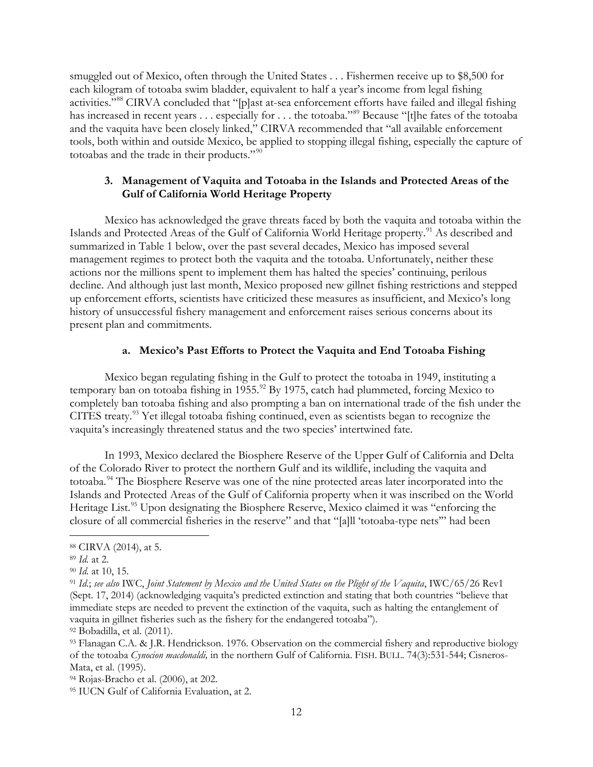smuggled out of Mexico, often through the United States . . . Fishermen receive up to \$8,500 for each kilogram of totoaba swim bladder, equivalent to half a year's income from legal fishing activities."[88](#page-15-0) CIRVA concluded that "[p]ast at-sea enforcement efforts have failed and illegal fishing has increased in recent years . . . especially for . . . the totoaba."<sup>[89](#page-15-1)</sup> Because "[t]he fates of the totoaba and the vaquita have been closely linked," CIRVA recommended that "all available enforcement tools, both within and outside Mexico, be applied to stopping illegal fishing, especially the capture of totoabas and the trade in their products."<sup>[90](#page-15-2)</sup>

# **3. Management of Vaquita and Totoaba in the Islands and Protected Areas of the Gulf of California World Heritage Property**

Mexico has acknowledged the grave threats faced by both the vaquita and totoaba within the Islands and Protected Areas of the Gulf of California World Heritage property.<sup>[91](#page-15-3)</sup> As described and summarized in Table 1 below, over the past several decades, Mexico has imposed several management regimes to protect both the vaquita and the totoaba. Unfortunately, neither these actions nor the millions spent to implement them has halted the species' continuing, perilous decline. And although just last month, Mexico proposed new gillnet fishing restrictions and stepped up enforcement efforts, scientists have criticized these measures as insufficient, and Mexico's long history of unsuccessful fishery management and enforcement raises serious concerns about its present plan and commitments.

# **a. Mexico's Past Efforts to Protect the Vaquita and End Totoaba Fishing**

Mexico began regulating fishing in the Gulf to protect the totoaba in 1949, instituting a temporary ban on totoaba fishing in 1955.<sup>[92](#page-15-4)</sup> By 1975, catch had plummeted, forcing Mexico to completely ban totoaba fishing and also prompting a ban on international trade of the fish under the CITES treaty. [93](#page-15-5) Yet illegal totoaba fishing continued, even as scientists began to recognize the vaquita's increasingly threatened status and the two species' intertwined fate.

In 1993, Mexico declared the Biosphere Reserve of the Upper Gulf of California and Delta of the Colorado River to protect the northern Gulf and its wildlife, including the vaquita and totoaba.<sup>[94](#page-15-6)</sup> The Biosphere Reserve was one of the nine protected areas later incorporated into the Islands and Protected Areas of the Gulf of California property when it was inscribed on the World Heritage List.<sup>[95](#page-15-7)</sup> Upon designating the Biosphere Reserve, Mexico claimed it was "enforcing the closure of all commercial fisheries in the reserve" and that "[a]ll 'totoaba-type nets'" had been

<span id="page-15-0"></span><sup>88</sup> CIRVA (2014), at 5.

<span id="page-15-1"></span><sup>89</sup> *Id.* at 2.

<span id="page-15-2"></span><sup>90</sup> *Id.* at 10, 15.

<span id="page-15-3"></span><sup>91</sup> *Id.*; *see also* IWC, *Joint Statement by Mexico and the United States on the Plight of the Vaquita*, IWC/65/26 Rev1 (Sept. 17, 2014) (acknowledging vaquita's predicted extinction and stating that both countries "believe that immediate steps are needed to prevent the extinction of the vaquita, such as halting the entanglement of vaquita in gillnet fisheries such as the fishery for the endangered totoaba").

<span id="page-15-4"></span><sup>92</sup> Bobadilla, et al. (2011).

<span id="page-15-5"></span><sup>93</sup> Flanagan C.A. & J.R. Hendrickson. 1976. Observation on the commercial fishery and reproductive biology of the totoaba *Cynocion macdonaldi,* in the northern Gulf of California. FISH. BULL. 74(3):531-544; Cisneros-Mata, et al. (1995).

<span id="page-15-6"></span><sup>94</sup> Rojas-Bracho et al. (2006), at 202.

<span id="page-15-7"></span><sup>95</sup> IUCN Gulf of California Evaluation, at 2.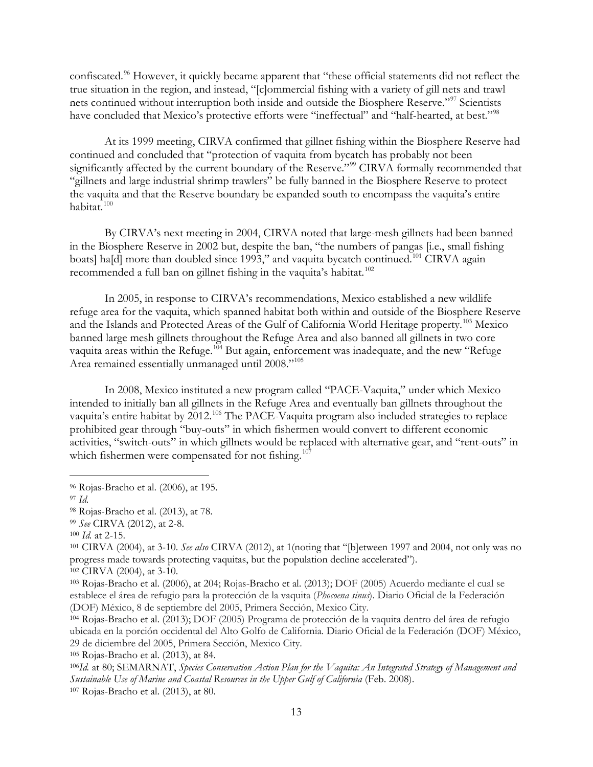confiscated.<sup>[96](#page-16-0)</sup> However, it quickly became apparent that "these official statements did not reflect the true situation in the region, and instead, "[c]ommercial fishing with a variety of gill nets and trawl nets continued without interruption both inside and outside the Biosphere Reserve."[97](#page-16-1) Scientists have concluded that Mexico's protective efforts were "ineffectual" and "half-hearted, at best."<sup>[98](#page-16-2)</sup>

At its 1999 meeting, CIRVA confirmed that gillnet fishing within the Biosphere Reserve had continued and concluded that "protection of vaquita from bycatch has probably not been significantly affected by the current boundary of the Reserve."<sup>[99](#page-16-3)</sup> CIRVA formally recommended that "gillnets and large industrial shrimp trawlers" be fully banned in the Biosphere Reserve to protect the vaquita and that the Reserve boundary be expanded south to encompass the vaquita's entire habitat.<sup>[100](#page-16-4)</sup>

By CIRVA's next meeting in 2004, CIRVA noted that large-mesh gillnets had been banned in the Biosphere Reserve in 2002 but, despite the ban, "the numbers of pangas [i.e., small fishing boats] ha[d] more than doubled since 1993," and vaquita bycatch continued.<sup>[101](#page-16-5)</sup> CIRVA again recommended a full ban on gillnet fishing in the vaquita's habitat.<sup>[102](#page-16-6)</sup>

In 2005, in response to CIRVA's recommendations, Mexico established a new wildlife refuge area for the vaquita, which spanned habitat both within and outside of the Biosphere Reserve and the Islands and Protected Areas of the Gulf of California World Heritage property.<sup>[103](#page-16-7)</sup> Mexico banned large mesh gillnets throughout the Refuge Area and also banned all gillnets in two core vaquita areas within the Refuge.<sup>[104](#page-16-8)</sup> But again, enforcement was inadequate, and the new "Refuge Area remained essentially unmanaged until 2008."<sup>[105](#page-16-9)</sup>

In 2008, Mexico instituted a new program called "PACE-Vaquita," under which Mexico intended to initially ban all gillnets in the Refuge Area and eventually ban gillnets throughout the vaquita's entire habitat by 2012.<sup>[106](#page-16-10)</sup> The PACE-Vaquita program also included strategies to replace prohibited gear through "buy-outs" in which fishermen would convert to different economic activities, "switch-outs" in which gillnets would be replaced with alternative gear, and "rent-outs" in which fishermen were compensated for not fishing.<sup>[107](#page-16-11)</sup>

 $\overline{a}$ 

<span id="page-16-9"></span><sup>105</sup> Rojas-Bracho et al. (2013), at 84.

<span id="page-16-0"></span><sup>96</sup> Rojas-Bracho et al. (2006), at 195.

<span id="page-16-2"></span><span id="page-16-1"></span><sup>97</sup> *Id.*

<sup>98</sup> Rojas-Bracho et al. (2013), at 78.

<span id="page-16-3"></span><sup>99</sup> *See* CIRVA (2012), at 2-8.

<span id="page-16-4"></span><sup>100</sup> *Id.* at 2-15.

<span id="page-16-5"></span><sup>101</sup> CIRVA (2004), at 3-10. *See also* CIRVA (2012), at 1(noting that "[b]etween 1997 and 2004, not only was no progress made towards protecting vaquitas, but the population decline accelerated"). <sup>102</sup> CIRVA (2004), at 3-10.

<span id="page-16-7"></span><span id="page-16-6"></span><sup>103</sup> Rojas-Bracho et al. (2006), at 204; Rojas-Bracho et al. (2013); DOF (2005) Acuerdo mediante el cual se establece el área de refugio para la protección de la vaquita (*Phocoena sinus*). Diario Oficial de la Federación (DOF) México, 8 de septiembre del 2005, Primera Sección, Mexico City.

<span id="page-16-8"></span><sup>104</sup> Rojas-Bracho et al. (2013); DOF (2005) Programa de protección de la vaquita dentro del área de refugio ubicada en la porción occidental del Alto Golfo de California. Diario Oficial de la Federación (DOF) México, 29 de diciembre del 2005, Primera Sección, Mexico City.

<span id="page-16-11"></span><span id="page-16-10"></span><sup>106</sup>*Id.* at 80; SEMARNAT, *Species Conservation Action Plan for the Vaquita: An Integrated Strategy of Management and*  Sustainable Use of Marine and Coastal Resources in the Upper Gulf of California (Feb. 2008). <sup>107</sup> Rojas-Bracho et al. (2013), at 80.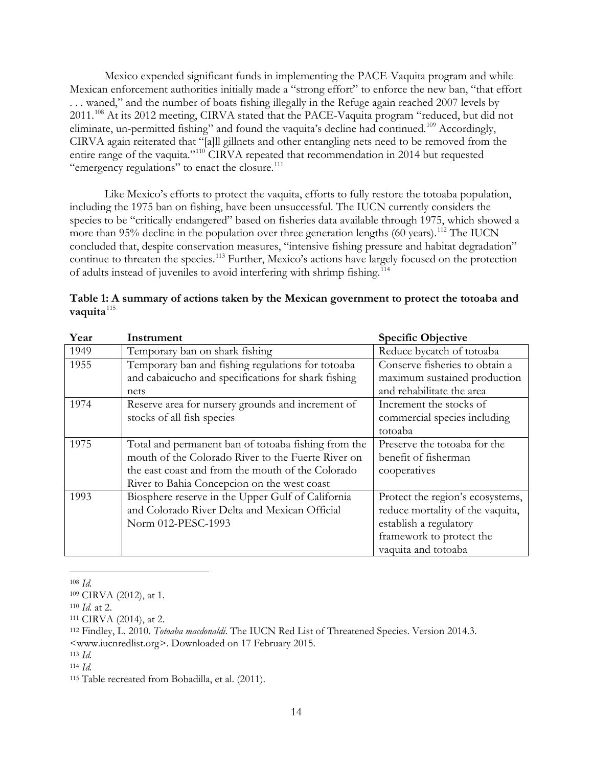Mexico expended significant funds in implementing the PACE-Vaquita program and while Mexican enforcement authorities initially made a "strong effort" to enforce the new ban, "that effort . . . waned," and the number of boats fishing illegally in the Refuge again reached 2007 levels by 2011.<sup>[108](#page-17-0)</sup> At its 2012 meeting, CIRVA stated that the PACE-Vaquita program "reduced, but did not eliminate, un-permitted fishing" and found the vaquita's decline had continued.<sup>[109](#page-17-1)</sup> Accordingly, CIRVA again reiterated that "[a]ll gillnets and other entangling nets need to be removed from the entire range of the vaquita."[110](#page-17-2) CIRVA repeated that recommendation in 2014 but requested "emergency regulations" to enact the closure.<sup>[111](#page-17-3)</sup>

Like Mexico's efforts to protect the vaquita, efforts to fully restore the totoaba population, including the 1975 ban on fishing, have been unsuccessful. The IUCN currently considers the species to be "critically endangered" based on fisheries data available through 1975, which showed a more than 95% decline in the population over three generation lengths (60 years).<sup>[112](#page-17-4)</sup> The IUCN concluded that, despite conservation measures, "intensive fishing pressure and habitat degradation" continue to threaten the species.<sup>[113](#page-17-5)</sup> Further, Mexico's actions have largely focused on the protection of adults instead of juveniles to avoid interfering with shrimp fishing.<sup>[114](#page-17-6)</sup>

| Year | Instrument                                          | <b>Specific Objective</b>        |
|------|-----------------------------------------------------|----------------------------------|
| 1949 | Temporary ban on shark fishing                      | Reduce bycatch of totoaba        |
| 1955 | Temporary ban and fishing regulations for totoaba   | Conserve fisheries to obtain a   |
|      | and cabaicucho and specifications for shark fishing | maximum sustained production     |
|      | nets                                                | and rehabilitate the area        |
| 1974 | Reserve area for nursery grounds and increment of   | Increment the stocks of          |
|      | stocks of all fish species                          | commercial species including     |
|      |                                                     | totoaba                          |
| 1975 | Total and permanent ban of totoaba fishing from the | Preserve the totoaba for the     |
|      | mouth of the Colorado River to the Fuerte River on  | benefit of fisherman             |
|      | the east coast and from the mouth of the Colorado   | cooperatives                     |
|      | River to Bahia Concepcion on the west coast         |                                  |
| 1993 | Biosphere reserve in the Upper Gulf of California   | Protect the region's ecosystems, |
|      | and Colorado River Delta and Mexican Official       | reduce mortality of the vaquita, |
|      | Norm 012-PESC-1993                                  | establish a regulatory           |
|      |                                                     | framework to protect the         |
|      |                                                     | vaquita and totoaba              |

**Table 1: A summary of actions taken by the Mexican government to protect the totoaba and**  vaquita<sup>[115](#page-17-7)</sup>

<span id="page-17-0"></span><sup>108</sup> *Id.*

<span id="page-17-1"></span><sup>109</sup> CIRVA (2012), at 1.

<span id="page-17-2"></span><sup>110</sup> *Id.* at 2.

<span id="page-17-3"></span><sup>111</sup> CIRVA (2014), at 2.

<span id="page-17-4"></span><sup>112</sup> Findley, L. 2010. *Totoaba macdonaldi*. The IUCN Red List of Threatened Species. Version 2014.3. <www.iucnredlist.org>. Downloaded on 17 February 2015.

<span id="page-17-5"></span><sup>113</sup> *Id.*

<span id="page-17-6"></span><sup>114</sup> *Id.*

<span id="page-17-7"></span><sup>115</sup> Table recreated from Bobadilla, et al. (2011).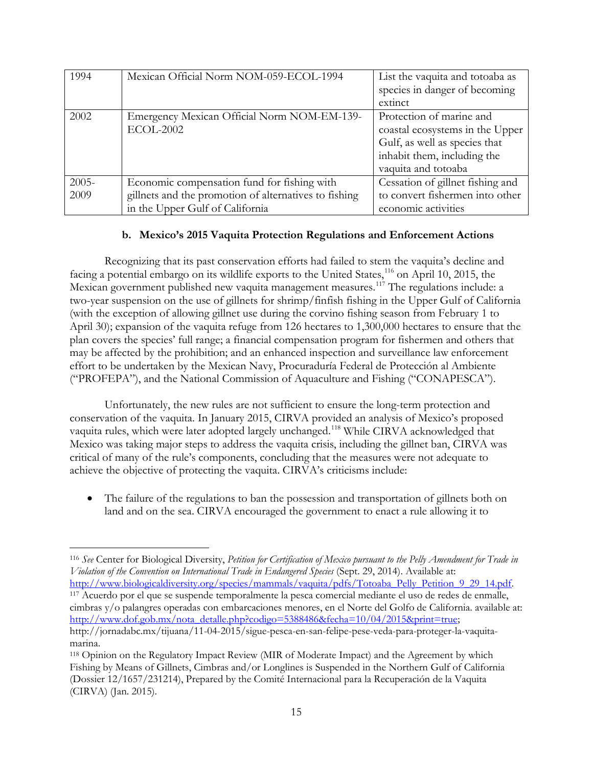| 1994             | Mexican Official Norm NOM-059-ECOL-1994                                                                                                 | List the vaquita and totoaba as<br>species in danger of becoming<br>extinct                                                                        |
|------------------|-----------------------------------------------------------------------------------------------------------------------------------------|----------------------------------------------------------------------------------------------------------------------------------------------------|
| 2002             | Emergency Mexican Official Norm NOM-EM-139-<br><b>ECOL-2002</b>                                                                         | Protection of marine and<br>coastal ecosystems in the Upper<br>Gulf, as well as species that<br>inhabit them, including the<br>vaquita and totoaba |
| $2005 -$<br>2009 | Economic compensation fund for fishing with<br>gillnets and the promotion of alternatives to fishing<br>in the Upper Gulf of California | Cessation of gillnet fishing and<br>to convert fishermen into other<br>economic activities                                                         |

# **b. Mexico's 2015 Vaquita Protection Regulations and Enforcement Actions**

Recognizing that its past conservation efforts had failed to stem the vaquita's decline and facing a potential embargo on its wildlife exports to the United States,<sup>[116](#page-18-0)</sup> on April 10, 2015, the Mexican government published new vaquita management measures.<sup>[117](#page-18-1)</sup> The regulations include: a two-year suspension on the use of gillnets for shrimp/finfish fishing in the Upper Gulf of California (with the exception of allowing gillnet use during the corvino fishing season from February 1 to April 30); expansion of the vaquita refuge from 126 hectares to 1,300,000 hectares to ensure that the plan covers the species' full range; a financial compensation program for fishermen and others that may be affected by the prohibition; and an enhanced inspection and surveillance law enforcement effort to be undertaken by the Mexican Navy, Procuraduría Federal de Protección al Ambiente ("PROFEPA"), and the National Commission of Aquaculture and Fishing ("CONAPESCA").

Unfortunately, the new rules are not sufficient to ensure the long-term protection and conservation of the vaquita. In January 2015, CIRVA provided an analysis of Mexico's proposed vaquita rules, which were later adopted largely unchanged.<sup>[118](#page-18-2)</sup> While CIRVA acknowledged that Mexico was taking major steps to address the vaquita crisis, including the gillnet ban, CIRVA was critical of many of the rule's components, concluding that the measures were not adequate to achieve the objective of protecting the vaquita. CIRVA's criticisms include:

• The failure of the regulations to ban the possession and transportation of gillnets both on land and on the sea. CIRVA encouraged the government to enact a rule allowing it to

 $\overline{a}$ 

<span id="page-18-1"></span>cimbras y/o palangres operadas con embarcaciones menores, en el Norte del Golfo de California. available at: http://www.dof.gob.mx/nota\_detalle.php?codigo=5388486&fecha=10/04/2015&print=true; http://jornadabc.mx/tijuana/11-04-2015/sigue-pesca-en-san-felipe-pese-veda-para-proteger-la-vaquita-

<span id="page-18-0"></span><sup>116</sup> *See* Center for Biological Diversity, *Petition for Certification of Mexico pursuant to the Pelly Amendment for Trade in Violation of the Convention on International Trade in Endangered Species* (Sept. 29, 2014). Available at: [http://www.biologicaldiversity.org/species/mammals/vaquita/pdfs/Totoaba\\_Pelly\\_Petition\\_9\\_29\\_14.pdf.](http://www.biologicaldiversity.org/species/mammals/vaquita/pdfs/Totoaba_Pelly_Petition_9_29_14.pdf) <sup>117</sup> Acuerdo por el que se suspende temporalmente la pesca comercial mediante el uso de redes de enmalle,

marina.

<span id="page-18-2"></span><sup>118</sup> Opinion on the Regulatory Impact Review (MIR of Moderate Impact) and the Agreement by which Fishing by Means of Gillnets, Cimbras and/or Longlines is Suspended in the Northern Gulf of California (Dossier 12/1657/231214), Prepared by the Comité Internacional para la Recuperación de la Vaquita (CIRVA) (Jan. 2015).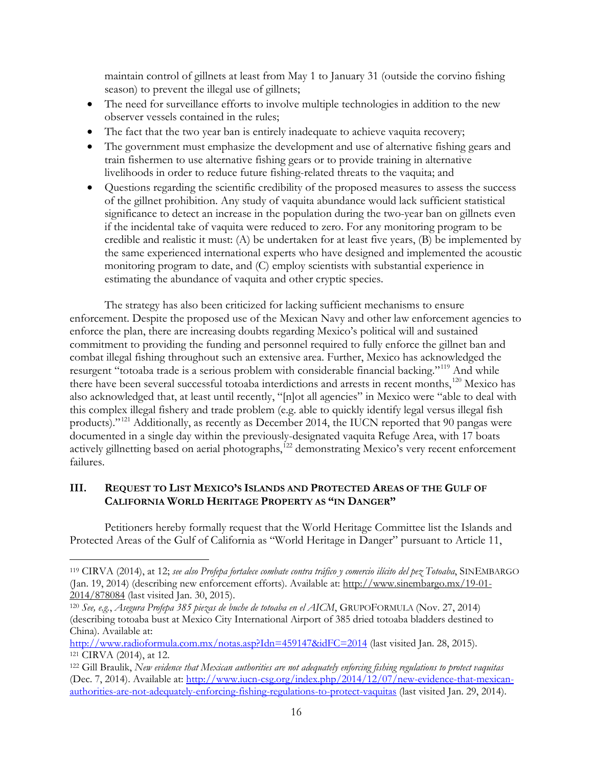maintain control of gillnets at least from May 1 to January 31 (outside the corvino fishing season) to prevent the illegal use of gillnets;

- The need for surveillance efforts to involve multiple technologies in addition to the new observer vessels contained in the rules;
- The fact that the two year ban is entirely inadequate to achieve vaquita recovery;
- The government must emphasize the development and use of alternative fishing gears and train fishermen to use alternative fishing gears or to provide training in alternative livelihoods in order to reduce future fishing-related threats to the vaquita; and
- Questions regarding the scientific credibility of the proposed measures to assess the success of the gillnet prohibition. Any study of vaquita abundance would lack sufficient statistical significance to detect an increase in the population during the two-year ban on gillnets even if the incidental take of vaquita were reduced to zero. For any monitoring program to be credible and realistic it must: (A) be undertaken for at least five years, (B) be implemented by the same experienced international experts who have designed and implemented the acoustic monitoring program to date, and (C) employ scientists with substantial experience in estimating the abundance of vaquita and other cryptic species.

The strategy has also been criticized for lacking sufficient mechanisms to ensure enforcement. Despite the proposed use of the Mexican Navy and other law enforcement agencies to enforce the plan, there are increasing doubts regarding Mexico's political will and sustained commitment to providing the funding and personnel required to fully enforce the gillnet ban and combat illegal fishing throughout such an extensive area. Further, Mexico has acknowledged the resurgent "totoaba trade is a serious problem with considerable financial backing."[119](#page-19-0) And while there have been several successful totoaba interdictions and arrests in recent months,<sup>[120](#page-19-1)</sup> Mexico has also acknowledged that, at least until recently, "[n]ot all agencies" in Mexico were "able to deal with this complex illegal fishery and trade problem (e.g. able to quickly identify legal versus illegal fish products)."<sup>[121](#page-19-2)</sup> Additionally, as recently as December 2014, the IUCN reported that 90 pangas were documented in a single day within the previously-designated vaquita Refuge Area, with 17 boats actively gillnetting based on aerial photographs,<sup>[122](#page-19-3)</sup> demonstrating Mexico's very recent enforcement failures.

# **III. REQUEST TO LIST MEXICO'S ISLANDS AND PROTECTED AREAS OF THE GULF OF CALIFORNIA WORLD HERITAGE PROPERTY AS "IN DANGER"**

 $\overline{a}$ 

Petitioners hereby formally request that the World Heritage Committee list the Islands and Protected Areas of the Gulf of California as "World Heritage in Danger" pursuant to Article 11,

<span id="page-19-0"></span><sup>119</sup> CIRVA (2014), at 12; *see also Profepa fortalece combate contra tráfico y comercio ilícito del pez Totoaba*, SINEMBARGO (Jan. 19, 2014) (describing new enforcement efforts). Available at: [http://www.sinembargo.mx/19-01-](http://www.sinembargo.mx/19-01-2014/878084) [2014/878084](http://www.sinembargo.mx/19-01-2014/878084) (last visited Jan. 30, 2015).

<span id="page-19-1"></span><sup>120</sup> *See, e.g.*, *Asegura Profepa 385 piezas de buche de totoaba en el AICM*, GRUPOFORMULA (Nov. 27, 2014) (describing totoaba bust at Mexico City International Airport of 385 dried totoaba bladders destined to China). Available at:

<span id="page-19-2"></span><http://www.radioformula.com.mx/notas.asp?Idn=459147&idFC=2014> (last visited Jan. 28, 2015). <sup>121</sup> CIRVA (2014), at 12.

<span id="page-19-3"></span><sup>122</sup> Gill Braulik, *New evidence that Mexican authorities are not adequately enforcing fishing regulations to protect vaquitas* (Dec. 7, 2014). Available at: [http://www.iucn-csg.org/index.php/2014/12/07/new-evidence-that-mexican](http://www.iucn-csg.org/index.php/2014/12/07/new-evidence-that-mexican-authorities-are-not-adequately-enforcing-fishing-regulations-to-protect-vaquitas)[authorities-are-not-adequately-enforcing-fishing-regulations-to-protect-vaquitas](http://www.iucn-csg.org/index.php/2014/12/07/new-evidence-that-mexican-authorities-are-not-adequately-enforcing-fishing-regulations-to-protect-vaquitas) (last visited Jan. 29, 2014).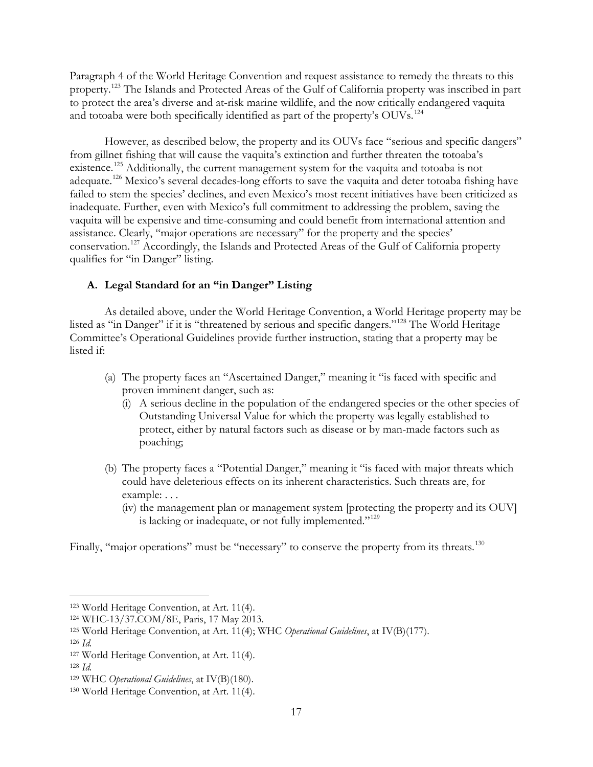Paragraph 4 of the World Heritage Convention and request assistance to remedy the threats to this property.<sup>[123](#page-20-0)</sup> The Islands and Protected Areas of the Gulf of California property was inscribed in part to protect the area's diverse and at-risk marine wildlife, and the now critically endangered vaquita and totoaba were both specifically identified as part of the property's  $\text{OUVs.}^{124}$  $\text{OUVs.}^{124}$  $\text{OUVs.}^{124}$ 

However, as described below, the property and its OUVs face "serious and specific dangers" from gillnet fishing that will cause the vaquita's extinction and further threaten the totoaba's existence.<sup>[125](#page-20-2)</sup> Additionally, the current management system for the vaquita and totoaba is not adequate.<sup>[126](#page-20-3)</sup> Mexico's several decades-long efforts to save the vaquita and deter totoaba fishing have failed to stem the species' declines, and even Mexico's most recent initiatives have been criticized as inadequate. Further, even with Mexico's full commitment to addressing the problem, saving the vaquita will be expensive and time-consuming and could benefit from international attention and assistance. Clearly, "major operations are necessary" for the property and the species' conservation.[127](#page-20-4) Accordingly, the Islands and Protected Areas of the Gulf of California property qualifies for "in Danger" listing.

# **A. Legal Standard for an "in Danger" Listing**

As detailed above, under the World Heritage Convention, a World Heritage property may be listed as "in Danger" if it is "threatened by serious and specific dangers."<sup>[128](#page-20-5)</sup> The World Heritage Committee's Operational Guidelines provide further instruction, stating that a property may be listed if:

- (a) The property faces an "Ascertained Danger," meaning it "is faced with specific and proven imminent danger, such as:
	- (i) A serious decline in the population of the endangered species or the other species of Outstanding Universal Value for which the property was legally established to protect, either by natural factors such as disease or by man-made factors such as poaching;
- (b) The property faces a "Potential Danger," meaning it "is faced with major threats which could have deleterious effects on its inherent characteristics. Such threats are, for example: . . .
	- (iv) the management plan or management system [protecting the property and its OUV] is lacking or inadequate, or not fully implemented."<sup>[129](#page-20-6)</sup>

Finally, "major operations" must be "necessary" to conserve the property from its threats.<sup>[130](#page-20-7)</sup>

<span id="page-20-0"></span><sup>123</sup> World Heritage Convention, at Art. 11(4).

<span id="page-20-1"></span><sup>124</sup> WHC-13/37.COM/8E, Paris, 17 May 2013.

<span id="page-20-2"></span><sup>125</sup> World Heritage Convention, at Art. 11(4); WHC *Operational Guidelines*, at IV(B)(177).

<span id="page-20-3"></span><sup>126</sup> *Id.*

<span id="page-20-4"></span><sup>127</sup> World Heritage Convention, at Art. 11(4).

<span id="page-20-5"></span><sup>128</sup> *Id.*

<span id="page-20-6"></span><sup>129</sup> WHC *Operational Guidelines*, at IV(B)(180).

<span id="page-20-7"></span><sup>130</sup> World Heritage Convention, at Art. 11(4).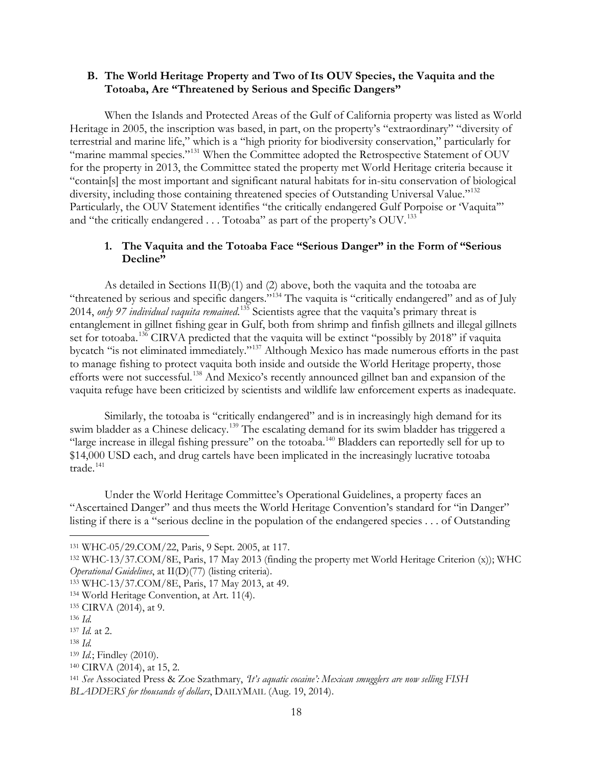# **B. The World Heritage Property and Two of Its OUV Species, the Vaquita and the Totoaba, Are "Threatened by Serious and Specific Dangers"**

When the Islands and Protected Areas of the Gulf of California property was listed as World Heritage in 2005, the inscription was based, in part, on the property's "extraordinary" "diversity of terrestrial and marine life," which is a "high priority for biodiversity conservation," particularly for "marine mammal species."<sup>[131](#page-21-0)</sup> When the Committee adopted the Retrospective Statement of OUV for the property in 2013, the Committee stated the property met World Heritage criteria because it "contain[s] the most important and significant natural habitats for in-situ conservation of biological diversity, including those containing threatened species of Outstanding Universal Value."<sup>[132](#page-21-1)</sup> Particularly, the OUV Statement identifies "the critically endangered Gulf Porpoise or 'Vaquita'" and "the critically endangered  $\dots$  Totoaba" as part of the property's OUV.<sup>[133](#page-21-2)</sup>

# **1. The Vaquita and the Totoaba Face "Serious Danger" in the Form of "Serious Decline"**

As detailed in Sections II(B)(1) and (2) above, both the vaquita and the totoaba are "threatened by serious and specific dangers."<sup>[134](#page-21-3)</sup> The vaquita is "critically endangered" and as of July 2014, *only 97 individual vaquita remained*. [135](#page-21-4) Scientists agree that the vaquita's primary threat is entanglement in gillnet fishing gear in Gulf, both from shrimp and finfish gillnets and illegal gillnets set for totoaba.<sup>[136](#page-21-5)</sup> CIRVA predicted that the vaquita will be extinct "possibly by 2018" if vaquita bycatch "is not eliminated immediately."[137](#page-21-6) Although Mexico has made numerous efforts in the past to manage fishing to protect vaquita both inside and outside the World Heritage property, those efforts were not successful.<sup>[138](#page-21-7)</sup> And Mexico's recently announced gillnet ban and expansion of the vaquita refuge have been criticized by scientists and wildlife law enforcement experts as inadequate.

Similarly, the totoaba is "critically endangered" and is in increasingly high demand for its swim bladder as a Chinese delicacy.<sup>[139](#page-21-8)</sup> The escalating demand for its swim bladder has triggered a "large increase in illegal fishing pressure" on the totoaba.[140](#page-21-9) Bladders can reportedly sell for up to \$14,000 USD each, and drug cartels have been implicated in the increasingly lucrative totoaba trade. [141](#page-21-10)

Under the World Heritage Committee's Operational Guidelines, a property faces an "Ascertained Danger" and thus meets the World Heritage Convention's standard for "in Danger" listing if there is a "serious decline in the population of the endangered species . . . of Outstanding

 $\overline{a}$ 

<span id="page-21-7"></span><sup>138</sup> *Id.*

<span id="page-21-0"></span><sup>131</sup> WHC-05/29.COM/22, Paris, 9 Sept. 2005, at 117.

<span id="page-21-1"></span><sup>132</sup> WHC-13/37.COM/8E, Paris, 17 May 2013 (finding the property met World Heritage Criterion (x)); WHC *Operational Guidelines*, at II(D)(77) (listing criteria).

<span id="page-21-2"></span><sup>133</sup> WHC-13/37.COM/8E, Paris, 17 May 2013, at 49.

<span id="page-21-3"></span><sup>134</sup> World Heritage Convention, at Art. 11(4).

<span id="page-21-4"></span><sup>135</sup> CIRVA (2014), at 9.

<span id="page-21-5"></span><sup>136</sup> *Id.*

<span id="page-21-6"></span><sup>137</sup> *Id.* at 2.

<span id="page-21-8"></span><sup>139</sup> *Id.*; Findley (2010).

<span id="page-21-9"></span><sup>140</sup> CIRVA (2014), at 15, 2.

<span id="page-21-10"></span><sup>141</sup> *See* Associated Press & Zoe Szathmary, *'It's aquatic cocaine': Mexican smugglers are now selling FISH BLADDERS for thousands of dollars*, DAILYMAIL (Aug. 19, 2014).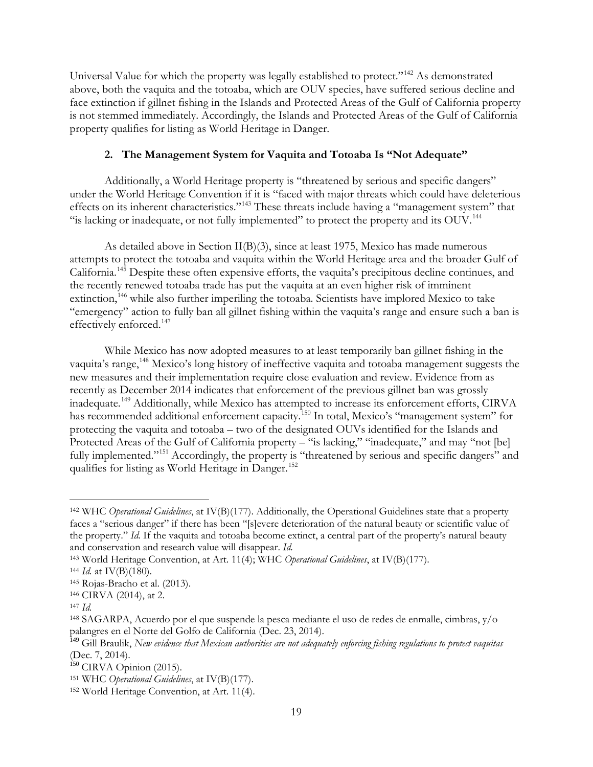Universal Value for which the property was legally established to protect."<sup>[142](#page-22-0)</sup> As demonstrated above, both the vaquita and the totoaba, which are OUV species, have suffered serious decline and face extinction if gillnet fishing in the Islands and Protected Areas of the Gulf of California property is not stemmed immediately. Accordingly, the Islands and Protected Areas of the Gulf of California property qualifies for listing as World Heritage in Danger.

# **2. The Management System for Vaquita and Totoaba Is "Not Adequate"**

Additionally, a World Heritage property is "threatened by serious and specific dangers" under the World Heritage Convention if it is "faced with major threats which could have deleterious effects on its inherent characteristics."[143](#page-22-1) These threats include having a "management system" that "is lacking or inadequate, or not fully implemented" to protect the property and its OUV.<sup>[144](#page-22-2)</sup>

As detailed above in Section II(B)(3), since at least 1975, Mexico has made numerous attempts to protect the totoaba and vaquita within the World Heritage area and the broader Gulf of California. [145](#page-22-3) Despite these often expensive efforts, the vaquita's precipitous decline continues, and the recently renewed totoaba trade has put the vaquita at an even higher risk of imminent extinction,<sup>[146](#page-22-4)</sup> while also further imperiling the totoaba. Scientists have implored Mexico to take "emergency" action to fully ban all gillnet fishing within the vaquita's range and ensure such a ban is effectively enforced.<sup>[147](#page-22-5)</sup>

While Mexico has now adopted measures to at least temporarily ban gillnet fishing in the vaquita's range,<sup>[148](#page-22-6)</sup> Mexico's long history of ineffective vaquita and totoaba management suggests the new measures and their implementation require close evaluation and review. Evidence from as recently as December 2014 indicates that enforcement of the previous gillnet ban was grossly inadequate.<sup>[149](#page-22-7)</sup> Additionally, while Mexico has attempted to increase its enforcement efforts, CIRVA has recommended additional enforcement capacity.<sup>[150](#page-22-8)</sup> In total, Mexico's "management system" for protecting the vaquita and totoaba – two of the designated OUVs identified for the Islands and Protected Areas of the Gulf of California property – "is lacking," "inadequate," and may "not [be] fully implemented."<sup>[151](#page-22-9)</sup> Accordingly, the property is "threatened by serious and specific dangers" and qualifies for listing as World Heritage in Danger.<sup>[152](#page-22-10)</sup>

<span id="page-22-0"></span><sup>142</sup> WHC *Operational Guidelines*, at IV(B)(177). Additionally, the Operational Guidelines state that a property faces a "serious danger" if there has been "[s]evere deterioration of the natural beauty or scientific value of the property." *Id.* If the vaquita and totoaba become extinct, a central part of the property's natural beauty and conservation and research value will disappear. *Id.*

<span id="page-22-1"></span><sup>143</sup> World Heritage Convention, at Art. 11(4); WHC *Operational Guidelines*, at IV(B)(177).

<span id="page-22-2"></span><sup>144</sup> *Id.* at IV(B)(180).

<span id="page-22-3"></span><sup>145</sup> Rojas-Bracho et al. (2013).

<span id="page-22-4"></span><sup>146</sup> CIRVA (2014), at 2.

<span id="page-22-5"></span><sup>147</sup> *Id.*

<span id="page-22-6"></span><sup>148</sup> SAGARPA, Acuerdo por el que suspende la pesca mediante el uso de redes de enmalle, cimbras, y/o palangres en el Norte del Golfo de California (Dec. 23, 2014).

<span id="page-22-7"></span><sup>149</sup> Gill Braulik, *New evidence that Mexican authorities are not adequately enforcing fishing regulations to protect vaquitas* (Dec. 7, 2014).

<span id="page-22-8"></span> $150$  CIRVA Opinion (2015).

<span id="page-22-9"></span><sup>151</sup> WHC *Operational Guidelines*, at IV(B)(177).

<span id="page-22-10"></span><sup>152</sup> World Heritage Convention, at Art. 11(4).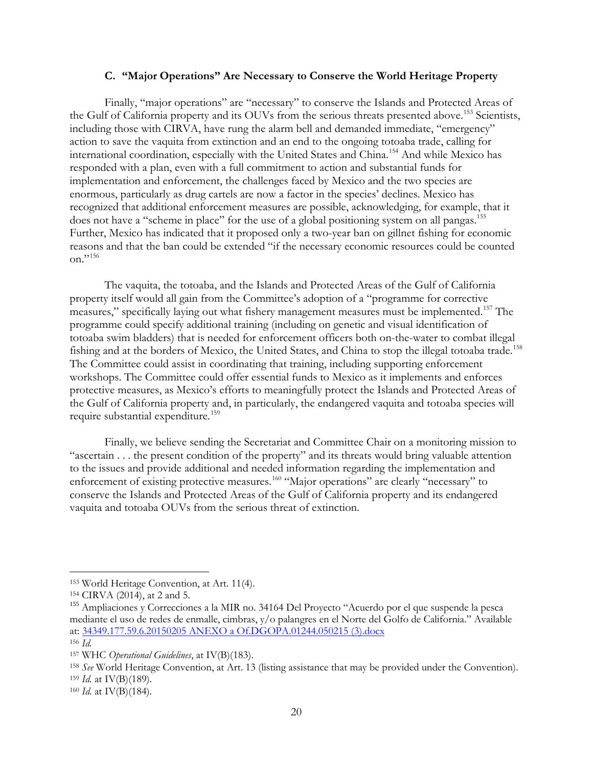# **C. "Major Operations" Are Necessary to Conserve the World Heritage Property**

Finally, "major operations" are "necessary" to conserve the Islands and Protected Areas of the Gulf of California property and its OUVs from the serious threats presented above.<sup>[153](#page-23-0)</sup> Scientists, including those with CIRVA, have rung the alarm bell and demanded immediate, "emergency" action to save the vaquita from extinction and an end to the ongoing totoaba trade, calling for international coordination, especially with the United States and China. [154](#page-23-1) And while Mexico has responded with a plan, even with a full commitment to action and substantial funds for implementation and enforcement, the challenges faced by Mexico and the two species are enormous, particularly as drug cartels are now a factor in the species' declines. Mexico has recognized that additional enforcement measures are possible, acknowledging, for example, that it does not have a "scheme in place" for the use of a global positioning system on all pangas.<sup>[155](#page-23-2)</sup> Further, Mexico has indicated that it proposed only a two-year ban on gillnet fishing for economic reasons and that the ban could be extended "if the necessary economic resources could be counted on."<sup>[156](#page-23-3)</sup>

The vaquita, the totoaba, and the Islands and Protected Areas of the Gulf of California property itself would all gain from the Committee's adoption of a "programme for corrective measures," specifically laying out what fishery management measures must be implemented.<sup>[157](#page-23-4)</sup> The programme could specify additional training (including on genetic and visual identification of totoaba swim bladders) that is needed for enforcement officers both on-the-water to combat illegal fishing and at the borders of Mexico, the United States, and China to stop the illegal totoaba trade.<sup>[158](#page-23-5)</sup> The Committee could assist in coordinating that training, including supporting enforcement workshops. The Committee could offer essential funds to Mexico as it implements and enforces protective measures, as Mexico's efforts to meaningfully protect the Islands and Protected Areas of the Gulf of California property and, in particularly, the endangered vaquita and totoaba species will require substantial expenditure. [159](#page-23-6)

Finally, we believe sending the Secretariat and Committee Chair on a monitoring mission to "ascertain . . . the present condition of the property" and its threats would bring valuable attention to the issues and provide additional and needed information regarding the implementation and enforcement of existing protective measures.<sup>[160](#page-23-7)</sup> "Major operations" are clearly "necessary" to conserve the Islands and Protected Areas of the Gulf of California property and its endangered vaquita and totoaba OUVs from the serious threat of extinction.

<span id="page-23-0"></span><sup>153</sup> World Heritage Convention, at Art. 11(4).

<span id="page-23-1"></span><sup>154</sup> CIRVA (2014), at 2 and 5.

<span id="page-23-2"></span><sup>155</sup> Ampliaciones y Correcciones a la MIR no. 34164 Del Proyecto "Acuerdo por el que suspende la pesca mediante el uso de redes de enmalle, cimbras, y/o palangres en el Norte del Golfo de California." Available at: [34349.177.59.6.20150205 ANEXO a Of.DGOPA.01244.050215 \(3\).docx](http://207.248.177.30/mir/uploadtests/34349.177.59.6.20150205%20ANEXO%20a%20%20Of.DGOPA.01244.050215%20%20%25283%2529.docx)

<span id="page-23-3"></span><sup>156</sup> *Id.*

<span id="page-23-4"></span><sup>157</sup> WHC *Operational Guidelines*, at IV(B)(183).

<span id="page-23-5"></span><sup>158</sup> *See* World Heritage Convention, at Art. 13 (listing assistance that may be provided under the Convention). <sup>159</sup> *Id.* at IV(B)(189).

<span id="page-23-7"></span><span id="page-23-6"></span><sup>160</sup> *Id.* at IV(B)(184).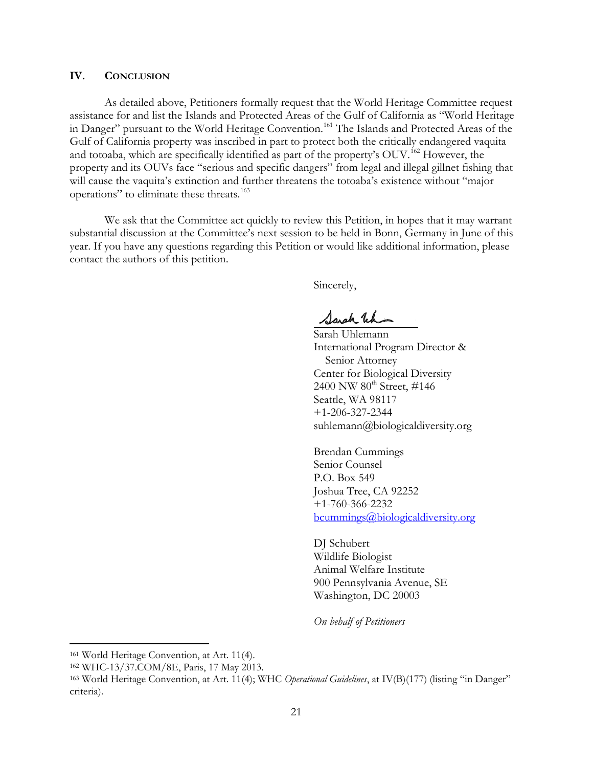## **IV. CONCLUSION**

As detailed above, Petitioners formally request that the World Heritage Committee request assistance for and list the Islands and Protected Areas of the Gulf of California as "World Heritage in Danger" pursuant to the World Heritage Convention.<sup>[161](#page-24-0)</sup> The Islands and Protected Areas of the Gulf of California property was inscribed in part to protect both the critically endangered vaquita and totoaba, which are specifically identified as part of the property's OUV.<sup>[162](#page-24-1)</sup> However, the property and its OUVs face "serious and specific dangers" from legal and illegal gillnet fishing that will cause the vaquita's extinction and further threatens the totoaba's existence without "major operations" to eliminate these threats. [163](#page-24-2)

We ask that the Committee act quickly to review this Petition, in hopes that it may warrant substantial discussion at the Committee's next session to be held in Bonn, Germany in June of this year. If you have any questions regarding this Petition or would like additional information, please contact the authors of this petition.

Sincerely,

Sarah Wh

Sarah Uhlemann International Program Director & Senior Attorney Center for Biological Diversity 2400 NW 80<sup>th</sup> Street, #146 Seattle, WA 98117 +1-206-327-2344 [suhlemann@biologicaldiversity.org](mailto:suhlemann@biologicaldiversity.org)

Brendan Cummings Senior Counsel P.O. Box 549 Joshua Tree, CA 92252 +1-760-366-2232 [bcummings@biologicaldiversity.org](mailto:bcummings@biologicaldiversity.org)

DJ Schubert Wildlife Biologist Animal Welfare Institute 900 Pennsylvania Avenue, SE Washington, DC 20003

*On behalf of Petitioners*

<span id="page-24-0"></span><sup>161</sup> World Heritage Convention, at Art. 11(4).

<span id="page-24-1"></span><sup>162</sup> WHC-13/37.COM/8E, Paris, 17 May 2013.

<span id="page-24-2"></span><sup>163</sup> World Heritage Convention, at Art. 11(4); WHC *Operational Guidelines*, at IV(B)(177) (listing "in Danger" criteria).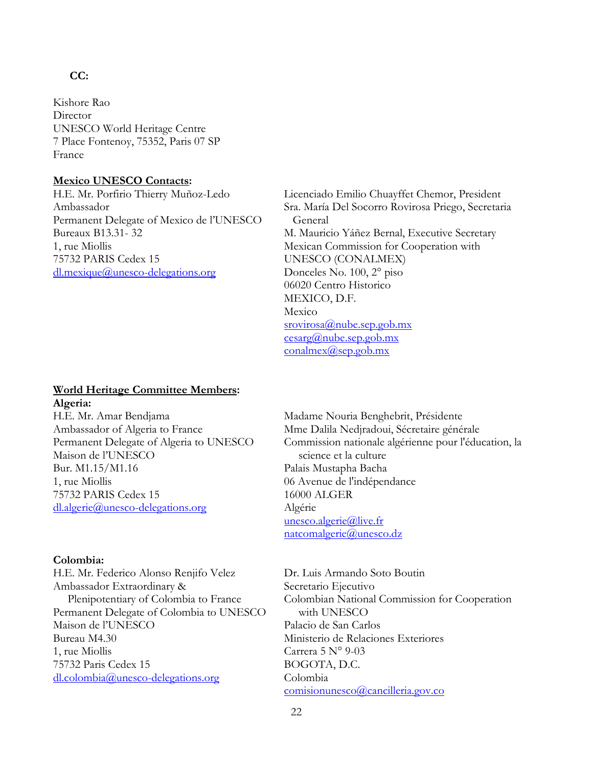Ambassador of Algeria to France Permanent Delegate of Algeria to UNESCO Maison de l'UNESCO Bur. M1.15/M1.16 1, rue Miollis 75732 PARIS Cedex 15 [dl.algerie@unesco-delegations.org](mailto:dl.algerie@unesco-delegations.org)

**World Heritage Committee Members:**

H.E. Mr. Amar Bendjama

# **Colombia:**

**Algeria:**

H.E. Mr. Federico Alonso Renjifo Velez Ambassador Extraordinary & Plenipotentiary of Colombia to France Permanent Delegate of Colombia to UNESCO Maison de l'UNESCO Bureau M4.30 1, rue Miollis 75732 Paris Cedex 15 [dl.colombia@unesco-delegations.org](mailto:dl.colombia@unesco-delegations.org)

Licenciado Emilio Chuayffet Chemor, President Sra. María Del Socorro Rovirosa Priego, Secretaria General M. Mauricio Yáñez Bernal, Executive Secretary Mexican Commission for Cooperation with UNESCO (CONALMEX) Donceles No. 100, 2° piso 06020 Centro Historico MEXICO, D.F. Mexico [srovirosa@nube.sep.gob.mx](mailto:srovirosa@nube.sep.gob.mx) [cesarg@nube.sep.gob.mx](mailto:cesarg@nube.sep.gob.mx) [conalmex@sep.gob.mx](mailto:conalmex@sep.gob.mx)

Madame Nouria Benghebrit, Présidente Mme Dalila Nedjradoui, Sécretaire générale Commission nationale algérienne pour l'éducation, la science et la culture Palais Mustapha Bacha 06 Avenue de l'indépendance 16000 ALGER Algérie [unesco.algerie@live.fr](mailto:unesco.algerie@live.fr) [natcomalgerie@unesco.dz](mailto:natcomalgerie@unesco.dz)

Dr. Luis Armando Soto Boutin Secretario Ejecutivo Colombian National Commission for Cooperation with UNESCO Palacio de San Carlos Ministerio de Relaciones Exteriores Carrera  $5 N^{\circ}$  9-03 BOGOTA, D.C. Colombia [comisionunesco@cancilleria.gov.co](mailto:comisionunesco@cancilleria.gov.co) 

# **CC:**

Kishore Rao Director UNESCO World Heritage Centre 7 Place Fontenoy, 75352, Paris 07 SP France

#### **Mexico UNESCO Contacts:**

H.E. Mr. Porfirio Thierry Muñoz-Ledo Ambassador Permanent Delegate of Mexico de l'UNESCO Bureaux B13.31- 32 1, rue Miollis 75732 PARIS Cedex 15 [dl.mexique@unesco-delegations.org](mailto:dl.mexique@unesco-delegations.org)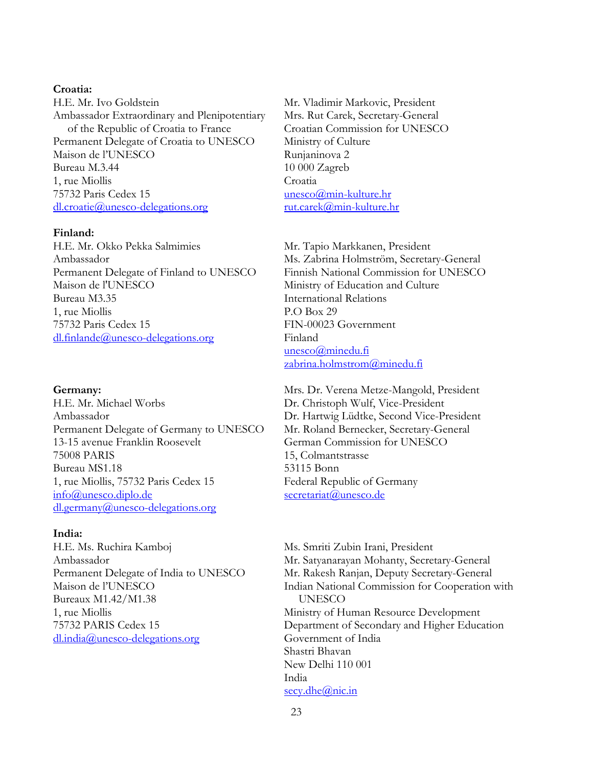#### **Croatia:**

H.E. Mr. Ivo Goldstein Ambassador Extraordinary and Plenipotentiary of the Republic of Croatia to France Permanent Delegate of Croatia to UNESCO Maison de l'UNESCO Bureau M.3.44 1, rue Miollis 75732 Paris Cedex 15 [dl.croatie@unesco-delegations.org](mailto:dl.croatie@unesco-delegations.org)

#### **Finland:**

H.E. Mr. Okko Pekka Salmimies Ambassador Permanent Delegate of Finland to UNESCO Maison de l'UNESCO Bureau M3.35 1, rue Miollis 75732 Paris Cedex 15 [dl.finlande@unesco-delegations.org](mailto:dl.finlande@unesco-delegations.org)

#### **Germany:**

H.E. Mr. Michael Worbs Ambassador Permanent Delegate of Germany to UNESCO 13-15 avenue Franklin Roosevelt 75008 PARIS Bureau MS1.18 1, rue Miollis, 75732 Paris Cedex 15 [info@unesco.diplo.de](mailto:info@unesco.diplo.de) [dl.germany@unesco-delegations.org](mailto:dl.germany@unesco-delegations.org)

#### **India:**

H.E. Ms. Ruchira Kamboj Ambassador Permanent Delegate of India to UNESCO Maison de l'UNESCO Bureaux M1.42/M1.38 1, rue Miollis 75732 PARIS Cedex 15 [dl.india@unesco-delegations.org](mailto:dl.india@unesco-delegations.org)

Mr. Vladimir Markovic, President Mrs. Rut Carek, Secretary-General Croatian Commission for UNESCO Ministry of Culture Runjaninova 2 10 000 Zagreb Croatia [unesco@min-kulture.hr](mailto:unesco@min-kulture.hr) [rut.carek@min-kulture.hr](mailto:rut.carek@min-kulture.hr)

Mr. Tapio Markkanen, President Ms. Zabrina Holmström, Secretary-General Finnish National Commission for UNESCO Ministry of Education and Culture International Relations P.O Box 29 FIN-00023 Government Finland [unesco@minedu.fi](mailto:unesco@minedu.fi) [zabrina.holmstrom@minedu.fi](mailto:zabrina.holmstrom@minedu.fi) 

Mrs. Dr. Verena Metze-Mangold, President Dr. Christoph Wulf, Vice-President Dr. Hartwig Lüdtke, Second Vice-President Mr. Roland Bernecker, Secretary-General German Commission for UNESCO 15, Colmantstrasse 53115 Bonn Federal Republic of Germany [secretariat@unesco.de](mailto:secretariat@unesco.de)

Ms. Smriti Zubin Irani, President Mr. Satyanarayan Mohanty, Secretary-General Mr. Rakesh Ranjan, Deputy Secretary-General Indian National Commission for Cooperation with UNESCO Ministry of Human Resource Development Department of Secondary and Higher Education Government of India Shastri Bhavan New Delhi 110 001 India [secy.dhe@nic.in](mailto:secy.dhe@nic.in)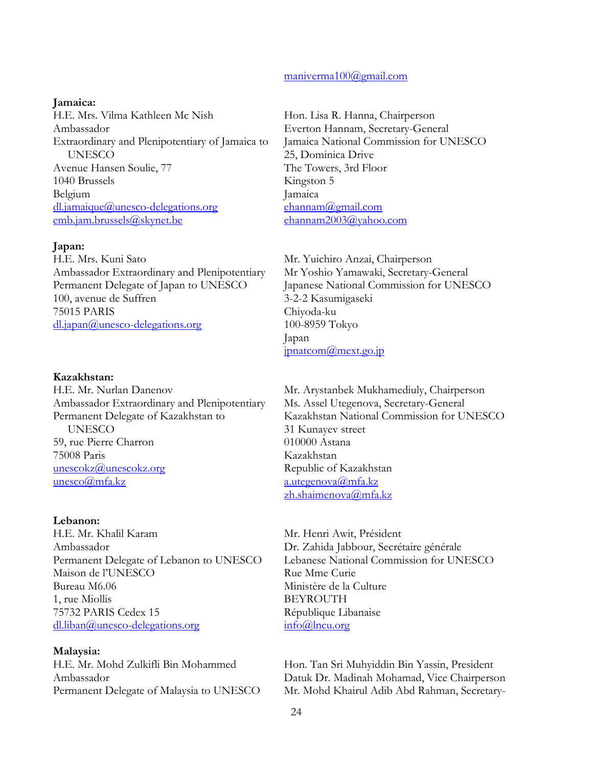#### [maniverma100@gmail.com](mailto:maniverma100@gmail.com)

#### **Jamaica:**

H.E. Mrs. Vilma Kathleen Mc Nish Ambassador Extraordinary and Plenipotentiary of Jamaica to UNESCO Avenue Hansen Soulie, 77 1040 Brussels Belgium [dl.jamaique@unesco-delegations.org](mailto:dl.jamaique@unesco-delegations.org) [emb.jam.brussels@skynet.be](mailto:emb.jam.brussels@skynet.be)

#### **Japan:**

H.E. Mrs. Kuni Sato Ambassador Extraordinary and Plenipotentiary Permanent Delegate of Japan to UNESCO 100, avenue de Suffren 75015 PARIS [dl.japan@unesco-delegations.org](mailto:dl.japan@unesco-delegations.org)

# **Kazakhstan:**

H.E. Mr. Nurlan Danenov Ambassador Extraordinary and Plenipotentiary Permanent Delegate of Kazakhstan to UNESCO 59, rue Pierre Charron 75008 Paris [unescokz@unescokz.org](mailto:unescokz@unescokz.org) [unesco@mfa.kz](mailto:unesco@mfa.kz)

#### **Lebanon:**

H.E. Mr. Khalil Karam Ambassador Permanent Delegate of Lebanon to UNESCO Maison de l'UNESCO Bureau M6.06 1, rue Miollis 75732 PARIS Cedex 15 [dl.liban@unesco-delegations.org](mailto:dl.liban@unesco-delegations.org)

#### **Malaysia:**

H.E. Mr. Mohd Zulkifli Bin Mohammed Ambassador Permanent Delegate of Malaysia to UNESCO

Hon. Lisa R. Hanna, Chairperson Everton Hannam, Secretary-General Jamaica National Commission for UNESCO 25, Dominica Drive The Towers, 3rd Floor Kingston 5 Jamaica [ehannam@gmail.com](mailto:ehannam@gmail.com) [ehannam2003@yahoo.com](mailto:ehannam2003@yahoo.com)

Mr. Yuichiro Anzai, Chairperson Mr Yoshio Yamawaki, Secretary-General Japanese National Commission for UNESCO 3-2-2 Kasumigaseki Chiyoda-ku 100-8959 Tokyo Japan [jpnatcom@mext.go.jp](mailto:jpnatcom@mext.go.jp)

Mr. Arystanbek Mukhamediuly, Chairperson Ms. Assel Utegenova, Secretary-General Kazakhstan National Commission for UNESCO 31 Kunayev street 010000 Astana Kazakhstan Republic of Kazakhstan [a.utegenova@mfa.kz](mailto:a.utegenova@mfa.kz) [zh.shaimenova@mfa.kz](mailto:zh.shaimenova@mfa.kz)

Mr. Henri Awit, Président Dr. Zahida Jabbour, Secrétaire générale Lebanese National Commission for UNESCO Rue Mme Curie Ministère de la Culture BEYROUTH République Libanaise [info@lncu.org](mailto:info@lncu.org)

Hon. Tan Sri Muhyiddin Bin Yassin, President Datuk Dr. Madinah Mohamad, Vice Chairperson Mr. Mohd Khairul Adib Abd Rahman, Secretary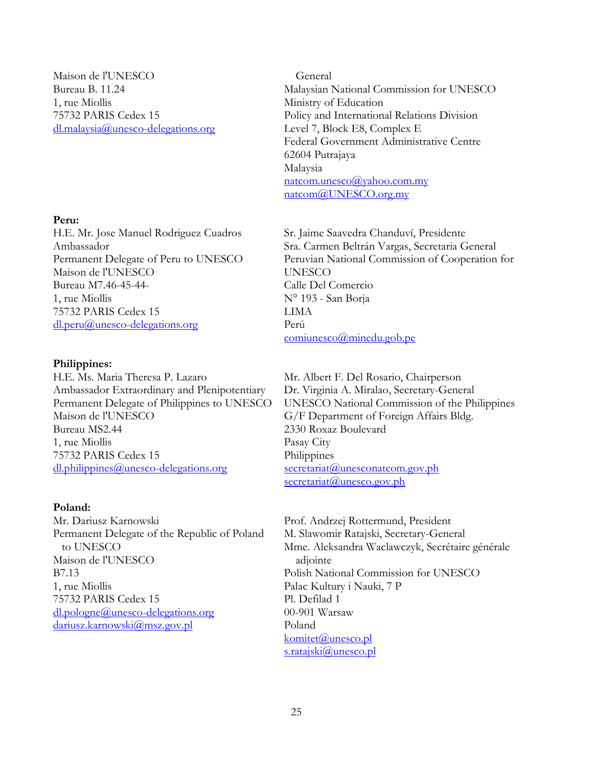Maison de l'UNESCO Bureau B. 11.24 1, rue Miollis 75732 PARIS Cedex 15 [dl.malaysia@unesco-delegations.org](mailto:dl.malaysia@unesco-delegations.org)

# **Peru:**

H.E. Mr. Jose Manuel Rodriguez Cuadros Ambassador Permanent Delegate of Peru to UNESCO Maison de l'UNESCO Bureau M7.46-45-44- 1, rue Miollis 75732 PARIS Cedex 15 [dl.peru@unesco-delegations.org](mailto:dl.peru@unesco-delegations.org)

## **Philippines:**

H.E. Ms. Maria Theresa P. Lazaro Ambassador Extraordinary and Plenipotentiary Permanent Delegate of Philippines to UNESCO Maison de l'UNESCO Bureau MS2.44 1, rue Miollis 75732 PARIS Cedex 15 [dl.philippines@unesco-delegations.org](mailto:dl.philippines@unesco-delegations.org)

#### **Poland:**

Mr. Dariusz Karnowski Permanent Delegate of the Republic of Poland to UNESCO Maison de l'UNESCO B7.13 1, rue Miollis 75732 PARIS Cedex 15 [dl.pologne@unesco-delegations.org](mailto:dl.pologne@unesco-delegations.org) [dariusz.karnowski@msz.gov.pl](mailto:dariusz.karnowski@msz.gov.pl)

 General Malaysian National Commission for UNESCO Ministry of Education Policy and International Relations Division Level 7, Block E8, Complex E Federal Government Administrative Centre 62604 Putrajaya Malaysia [natcom.unesco@yahoo.com.my](mailto:natcom.unesco@yahoo.com.my) [natcom@UNESCO.org.my](mailto:natcom@UNESCO.org.my)

Sr. Jaime Saavedra Chanduví, Presidente Sra. Carmen Beltrán Vargas, Secretaria General Peruvian National Commission of Cooperation for UNESCO Calle Del Comercio N° 193 - San Borja LIMA Perú [comiunesco@minedu.gob.pe](mailto:comiunesco@minedu.gob.pe)

Mr. Albert F. Del Rosario, Chairperson Dr. Virginia A. Miralao, Secretary-General UNESCO National Commission of the Philippines G/F Department of Foreign Affairs Bldg. 2330 Roxaz Boulevard Pasay City Philippines secretariat@unesconatcom.gov.ph [secretariat@unesco.gov.ph](mailto:secretariat@unesco.gov.ph)

Prof. Andrzej Rottermund, President M. Slawomir Ratajski, Secretary-General Mme. Aleksandra Waclawczyk, Secrétaire générale adjointe Polish National Commission for UNESCO Palac Kultury i Nauki, 7 P Pl. Defilad 1 00-901 Warsaw Poland [komitet@unesco.pl](mailto:komitet@unesco.pl) [s.ratajski@unesco.pl](mailto:s.ratajski@unesco.pl)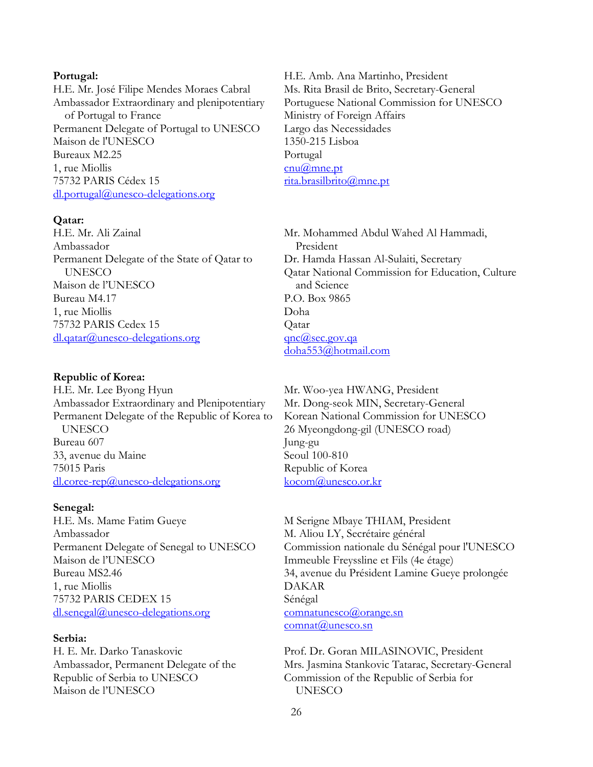#### **Portugal:**

H.E. Mr. José Filipe Mendes Moraes Cabral Ambassador Extraordinary and plenipotentiary of Portugal to France Permanent Delegate of Portugal to UNESCO Maison de l'UNESCO Bureaux M2.25 1, rue Miollis 75732 PARIS Cédex 15 [dl.portugal@unesco-delegations.org](mailto:dl.portugal@unesco-delegations.org)

# **Qatar:**

H.E. Mr. Ali Zainal Ambassador Permanent Delegate of the State of Qatar to UNESCO Maison de l'UNESCO Bureau M4.17 1, rue Miollis 75732 PARIS Cedex 15 [dl.qatar@unesco-delegations.org](mailto:dl.qatar@unesco-delegations.org)

## **Republic of Korea:**

H.E. Mr. Lee Byong Hyun Ambassador Extraordinary and Plenipotentiary Permanent Delegate of the Republic of Korea to UNESCO Bureau 607 33, avenue du Maine 75015 Paris [dl.coree-rep@unesco-delegations.org](mailto:dl.coree-rep@unesco-delegations.org)

#### **Senegal:**

H.E. Ms. Mame Fatim Gueye Ambassador Permanent Delegate of Senegal to UNESCO Maison de l'UNESCO Bureau MS2.46 1, rue Miollis 75732 PARIS CEDEX 15 [dl.senegal@unesco-delegations.org](mailto:dl.senegal@unesco-delegations.org)

## **Serbia:**

H. E. Mr. Darko Tanaskovic Ambassador, Permanent Delegate of the Republic of Serbia to UNESCO Maison de l'UNESCO

H.E. Amb. Ana Martinho, President Ms. Rita Brasil de Brito, Secretary-General Portuguese National Commission for UNESCO Ministry of Foreign Affairs Largo das Necessidades 1350-215 Lisboa Portugal  $cnu@$ mne.pt [rita.brasilbrito@mne.pt](mailto:rita.brasilbrito@mne.pt)

Mr. Mohammed Abdul Wahed Al Hammadi, President Dr. Hamda Hassan Al-Sulaiti, Secretary Qatar National Commission for Education, Culture and Science P.O. Box 9865 Doha Qatar [qnc@sec.gov.qa](mailto:qnc@sec.gov.qa) [doha553@hotmail.com](mailto:doha553@hotmail.com)

Mr. Woo-yea HWANG, President Mr. Dong-seok MIN, Secretary-General Korean National Commission for UNESCO 26 Myeongdong-gil (UNESCO road) Jung-gu Seoul 100-810 Republic of Korea <u>[kocom@unesco.or.kr](mailto:kocom@unesco.or.kr)</u>

M Serigne Mbaye THIAM, President M. Aliou LY, Secrétaire général Commission nationale du Sénégal pour l'UNESCO Immeuble Freyssline et Fils (4e étage) 34, avenue du Président Lamine Gueye prolongée DAKAR Sénégal [comnatunesco@orange.sn](mailto:comnatunesco@orange.sn) [comnat@unesco.sn](mailto:comnat@unesco.sn)

Prof. Dr. Goran MILASINOVIC, President Mrs. Jasmina Stankovic Tatarac, Secretary-General Commission of the Republic of Serbia for UNESCO